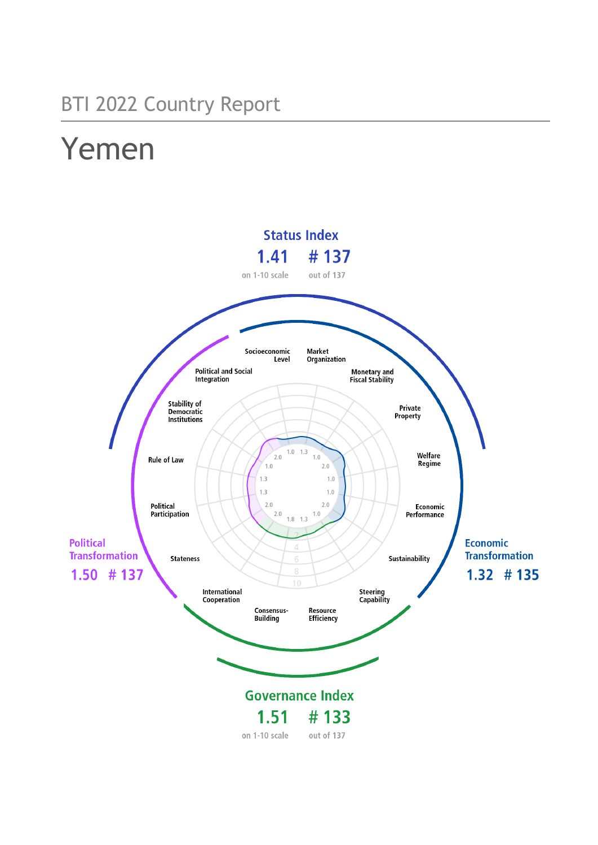## BTI 2022 Country Report

# Yemen

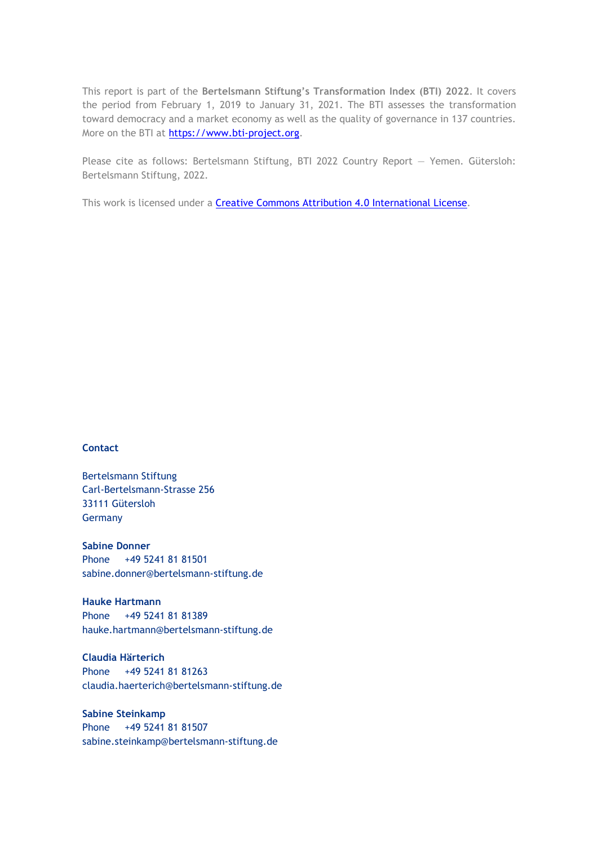This report is part of the **Bertelsmann Stiftung's Transformation Index (BTI) 2022**. It covers the period from February 1, 2019 to January 31, 2021. The BTI assesses the transformation toward democracy and a market economy as well as the quality of governance in 137 countries. More on the BTI at [https://www.bti-project.org.](https://www.bti-project.org/)

Please cite as follows: Bertelsmann Stiftung, BTI 2022 Country Report — Yemen. Gütersloh: Bertelsmann Stiftung, 2022.

This work is licensed under a **Creative Commons Attribution 4.0 International License**.

#### **Contact**

Bertelsmann Stiftung Carl-Bertelsmann-Strasse 256 33111 Gütersloh Germany

**Sabine Donner** Phone +49 5241 81 81501 sabine.donner@bertelsmann-stiftung.de

**Hauke Hartmann** Phone +49 5241 81 81389 hauke.hartmann@bertelsmann-stiftung.de

**Claudia Härterich** Phone +49 5241 81 81263 claudia.haerterich@bertelsmann-stiftung.de

#### **Sabine Steinkamp** Phone +49 5241 81 81507 sabine.steinkamp@bertelsmann-stiftung.de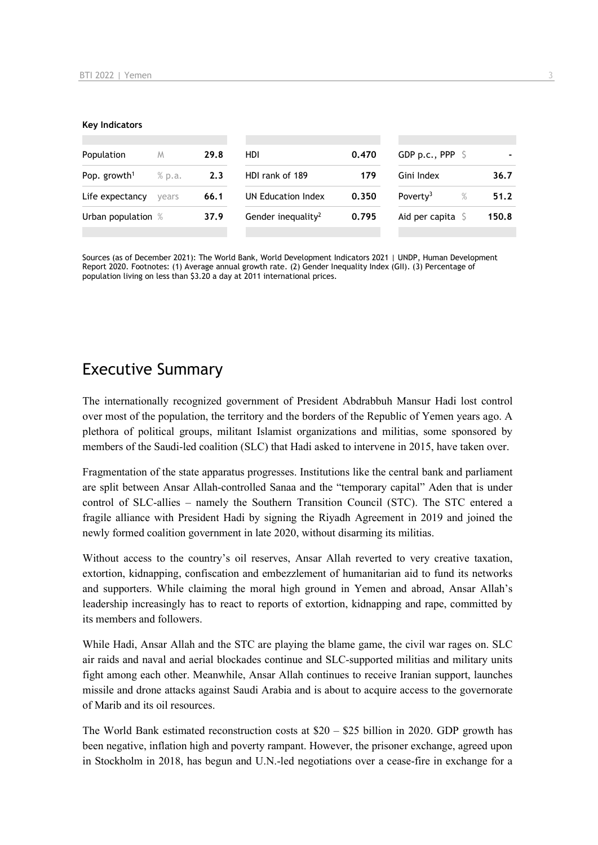#### **Key Indicators**

| Population<br>M<br>Pop. growth <sup>1</sup><br>% p.a. |       | 29.8                   | HDI.                           | 0.470 | GDP p.c., PPP $\ S$          |       |  |
|-------------------------------------------------------|-------|------------------------|--------------------------------|-------|------------------------------|-------|--|
|                                                       |       | HDI rank of 189<br>2.3 |                                | 179   | Gini Index                   | 36.7  |  |
| Life expectancy                                       | vears | 66.1                   | UN Education Index             | 0.350 | Poverty <sup>3</sup><br>$\%$ | 51.2  |  |
| Urban population %                                    |       | 37.9                   | Gender inequality <sup>2</sup> | 0.795 | Aid per capita $\sqrt{2}$    | 150.8 |  |
|                                                       |       |                        |                                |       |                              |       |  |

Sources (as of December 2021): The World Bank, World Development Indicators 2021 | UNDP, Human Development Report 2020. Footnotes: (1) Average annual growth rate. (2) Gender Inequality Index (GII). (3) Percentage of population living on less than \$3.20 a day at 2011 international prices.

## Executive Summary

The internationally recognized government of President Abdrabbuh Mansur Hadi lost control over most of the population, the territory and the borders of the Republic of Yemen years ago. A plethora of political groups, militant Islamist organizations and militias, some sponsored by members of the Saudi-led coalition (SLC) that Hadi asked to intervene in 2015, have taken over.

Fragmentation of the state apparatus progresses. Institutions like the central bank and parliament are split between Ansar Allah-controlled Sanaa and the "temporary capital" Aden that is under control of SLC-allies – namely the Southern Transition Council (STC). The STC entered a fragile alliance with President Hadi by signing the Riyadh Agreement in 2019 and joined the newly formed coalition government in late 2020, without disarming its militias.

Without access to the country's oil reserves, Ansar Allah reverted to very creative taxation, extortion, kidnapping, confiscation and embezzlement of humanitarian aid to fund its networks and supporters. While claiming the moral high ground in Yemen and abroad, Ansar Allah's leadership increasingly has to react to reports of extortion, kidnapping and rape, committed by its members and followers.

While Hadi, Ansar Allah and the STC are playing the blame game, the civil war rages on. SLC air raids and naval and aerial blockades continue and SLC-supported militias and military units fight among each other. Meanwhile, Ansar Allah continues to receive Iranian support, launches missile and drone attacks against Saudi Arabia and is about to acquire access to the governorate of Marib and its oil resources.

The World Bank estimated reconstruction costs at  $$20 - $25$  billion in 2020. GDP growth has been negative, inflation high and poverty rampant. However, the prisoner exchange, agreed upon in Stockholm in 2018, has begun and U.N.-led negotiations over a cease-fire in exchange for a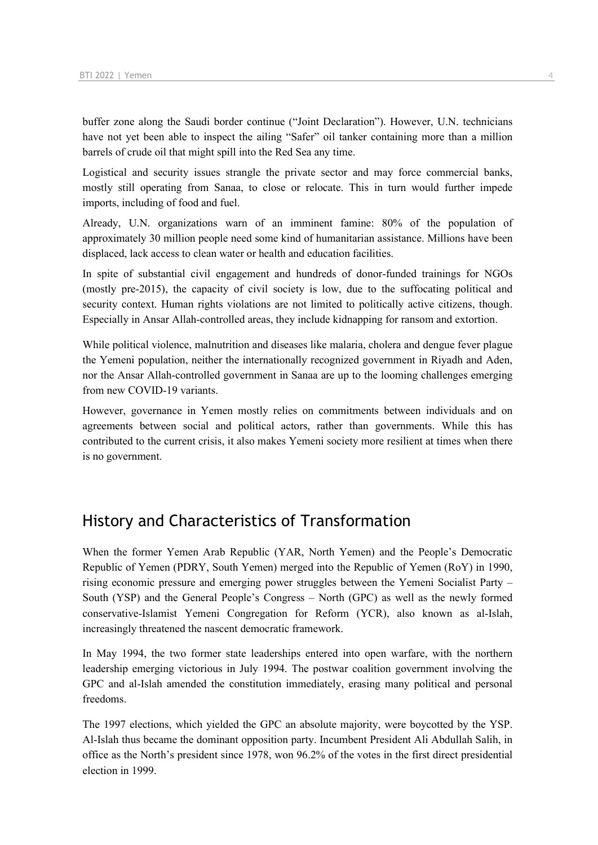buffer zone along the Saudi border continue ("Joint Declaration"). However, U.N. technicians have not yet been able to inspect the ailing "Safer" oil tanker containing more than a million barrels of crude oil that might spill into the Red Sea any time.

Logistical and security issues strangle the private sector and may force commercial banks, mostly still operating from Sanaa, to close or relocate. This in turn would further impede imports, including of food and fuel.

Already, U.N. organizations warn of an imminent famine: 80% of the population of approximately 30 million people need some kind of humanitarian assistance. Millions have been displaced, lack access to clean water or health and education facilities.

In spite of substantial civil engagement and hundreds of donor-funded trainings for NGOs (mostly pre-2015), the capacity of civil society is low, due to the suffocating political and security context. Human rights violations are not limited to politically active citizens, though. Especially in Ansar Allah-controlled areas, they include kidnapping for ransom and extortion.

While political violence, malnutrition and diseases like malaria, cholera and dengue fever plague the Yemeni population, neither the internationally recognized government in Riyadh and Aden, nor the Ansar Allah-controlled government in Sanaa are up to the looming challenges emerging from new COVID-19 variants.

However, governance in Yemen mostly relies on commitments between individuals and on agreements between social and political actors, rather than governments. While this has contributed to the current crisis, it also makes Yemeni society more resilient at times when there is no government.

## History and Characteristics of Transformation

When the former Yemen Arab Republic (YAR, North Yemen) and the People's Democratic Republic of Yemen (PDRY, South Yemen) merged into the Republic of Yemen (RoY) in 1990, rising economic pressure and emerging power struggles between the Yemeni Socialist Party – South (YSP) and the General People's Congress – North (GPC) as well as the newly formed conservative-Islamist Yemeni Congregation for Reform (YCR), also known as al-Islah, increasingly threatened the nascent democratic framework.

In May 1994, the two former state leaderships entered into open warfare, with the northern leadership emerging victorious in July 1994. The postwar coalition government involving the GPC and al-Islah amended the constitution immediately, erasing many political and personal freedoms.

The 1997 elections, which yielded the GPC an absolute majority, were boycotted by the YSP. Al-Islah thus became the dominant opposition party. Incumbent President Ali Abdullah Salih, in office as the North's president since 1978, won 96.2% of the votes in the first direct presidential election in 1999.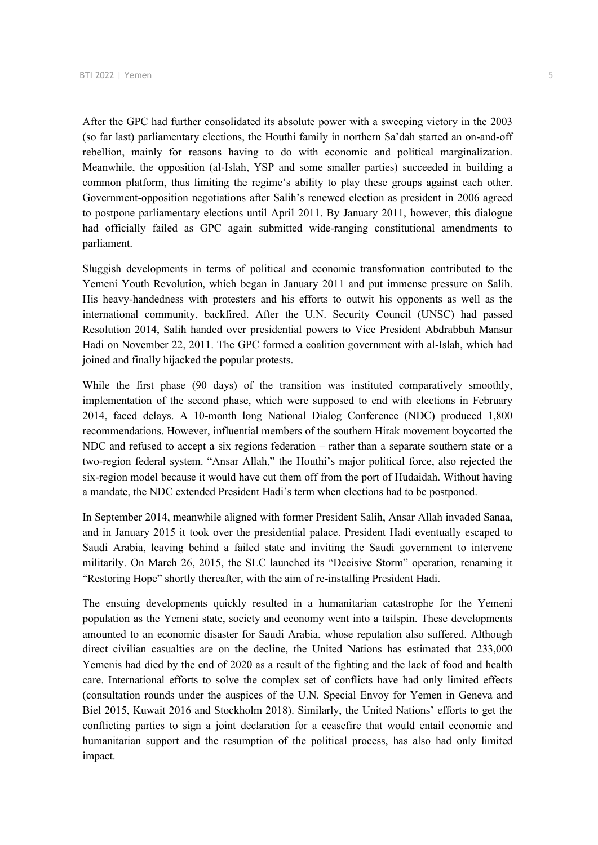After the GPC had further consolidated its absolute power with a sweeping victory in the 2003 (so far last) parliamentary elections, the Houthi family in northern Sa'dah started an on-and-off rebellion, mainly for reasons having to do with economic and political marginalization. Meanwhile, the opposition (al-Islah, YSP and some smaller parties) succeeded in building a common platform, thus limiting the regime's ability to play these groups against each other. Government-opposition negotiations after Salih's renewed election as president in 2006 agreed to postpone parliamentary elections until April 2011. By January 2011, however, this dialogue had officially failed as GPC again submitted wide-ranging constitutional amendments to parliament.

Sluggish developments in terms of political and economic transformation contributed to the Yemeni Youth Revolution, which began in January 2011 and put immense pressure on Salih. His heavy-handedness with protesters and his efforts to outwit his opponents as well as the international community, backfired. After the U.N. Security Council (UNSC) had passed Resolution 2014, Salih handed over presidential powers to Vice President Abdrabbuh Mansur Hadi on November 22, 2011. The GPC formed a coalition government with al-Islah, which had joined and finally hijacked the popular protests.

While the first phase (90 days) of the transition was instituted comparatively smoothly, implementation of the second phase, which were supposed to end with elections in February 2014, faced delays. A 10-month long National Dialog Conference (NDC) produced 1,800 recommendations. However, influential members of the southern Hirak movement boycotted the NDC and refused to accept a six regions federation – rather than a separate southern state or a two-region federal system. "Ansar Allah," the Houthi's major political force, also rejected the six-region model because it would have cut them off from the port of Hudaidah. Without having a mandate, the NDC extended President Hadi's term when elections had to be postponed.

In September 2014, meanwhile aligned with former President Salih, Ansar Allah invaded Sanaa, and in January 2015 it took over the presidential palace. President Hadi eventually escaped to Saudi Arabia, leaving behind a failed state and inviting the Saudi government to intervene militarily. On March 26, 2015, the SLC launched its "Decisive Storm" operation, renaming it "Restoring Hope" shortly thereafter, with the aim of re-installing President Hadi.

The ensuing developments quickly resulted in a humanitarian catastrophe for the Yemeni population as the Yemeni state, society and economy went into a tailspin. These developments amounted to an economic disaster for Saudi Arabia, whose reputation also suffered. Although direct civilian casualties are on the decline, the United Nations has estimated that 233,000 Yemenis had died by the end of 2020 as a result of the fighting and the lack of food and health care. International efforts to solve the complex set of conflicts have had only limited effects (consultation rounds under the auspices of the U.N. Special Envoy for Yemen in Geneva and Biel 2015, Kuwait 2016 and Stockholm 2018). Similarly, the United Nations' efforts to get the conflicting parties to sign a joint declaration for a ceasefire that would entail economic and humanitarian support and the resumption of the political process, has also had only limited impact.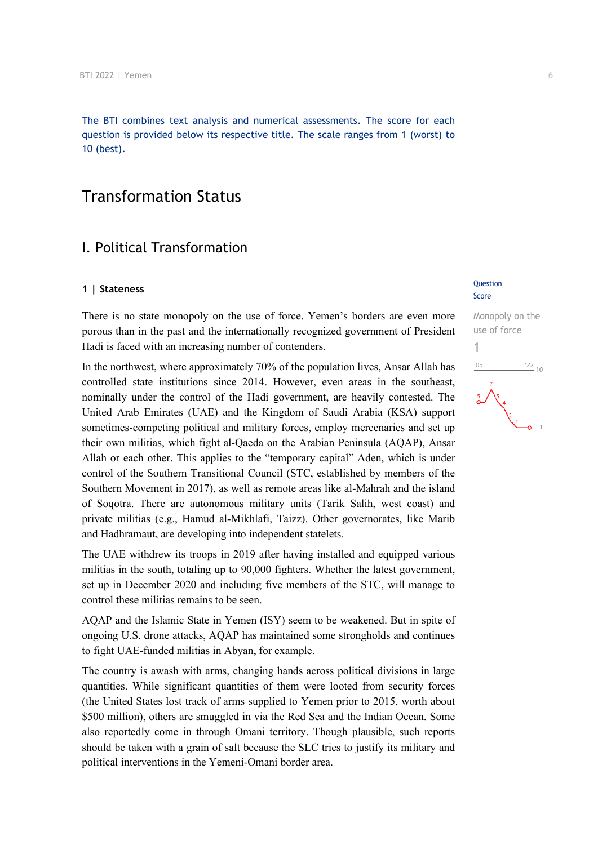The BTI combines text analysis and numerical assessments. The score for each question is provided below its respective title. The scale ranges from 1 (worst) to 10 (best).

## Transformation Status

## I. Political Transformation

## **1** | Stateness Question

There is no state monopoly on the use of force. Yemen's borders are even more porous than in the past and the internationally recognized government of President Hadi is faced with an increasing number of contenders.

In the northwest, where approximately 70% of the population lives, Ansar Allah has controlled state institutions since 2014. However, even areas in the southeast, nominally under the control of the Hadi government, are heavily contested. The United Arab Emirates (UAE) and the Kingdom of Saudi Arabia (KSA) support sometimes-competing political and military forces, employ mercenaries and set up their own militias, which fight al-Qaeda on the Arabian Peninsula (AQAP), Ansar Allah or each other. This applies to the "temporary capital" Aden, which is under control of the Southern Transitional Council (STC, established by members of the Southern Movement in 2017), as well as remote areas like al-Mahrah and the island of Soqotra. There are autonomous military units (Tarik Salih, west coast) and private militias (e.g., Hamud al-Mikhlafi, Taizz). Other governorates, like Marib and Hadhramaut, are developing into independent statelets.

The UAE withdrew its troops in 2019 after having installed and equipped various militias in the south, totaling up to 90,000 fighters. Whether the latest government, set up in December 2020 and including five members of the STC, will manage to control these militias remains to be seen.

AQAP and the Islamic State in Yemen (ISY) seem to be weakened. But in spite of ongoing U.S. drone attacks, AQAP has maintained some strongholds and continues to fight UAE-funded militias in Abyan, for example.

The country is awash with arms, changing hands across political divisions in large quantities. While significant quantities of them were looted from security forces (the United States lost track of arms supplied to Yemen prior to 2015, worth about \$500 million), others are smuggled in via the Red Sea and the Indian Ocean. Some also reportedly come in through Omani territory. Though plausible, such reports should be taken with a grain of salt because the SLC tries to justify its military and political interventions in the Yemeni-Omani border area.

## Score

### Monopoly on the use of force 1

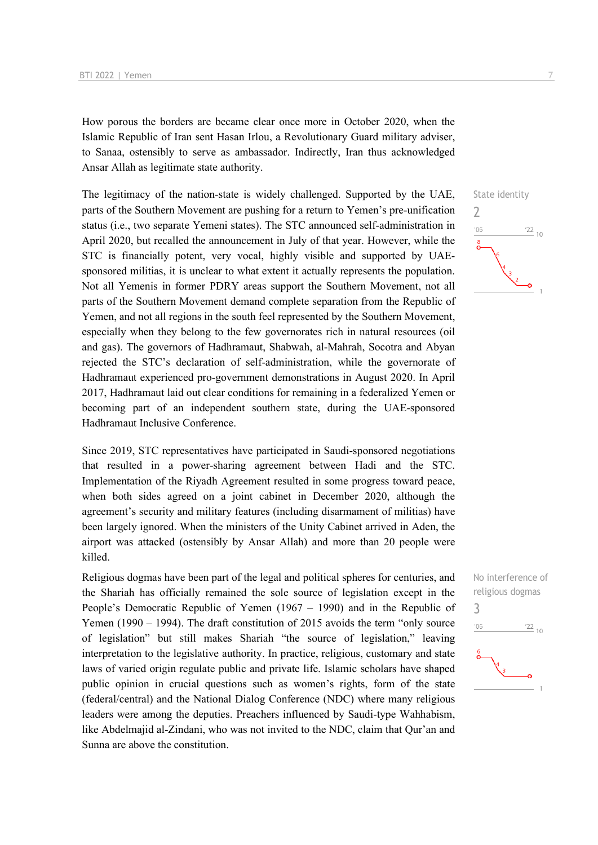How porous the borders are became clear once more in October 2020, when the Islamic Republic of Iran sent Hasan Irlou, a Revolutionary Guard military adviser, to Sanaa, ostensibly to serve as ambassador. Indirectly, Iran thus acknowledged Ansar Allah as legitimate state authority.

The legitimacy of the nation-state is widely challenged. Supported by the UAE, parts of the Southern Movement are pushing for a return to Yemen's pre-unification status (i.e., two separate Yemeni states). The STC announced self-administration in April 2020, but recalled the announcement in July of that year. However, while the STC is financially potent, very vocal, highly visible and supported by UAEsponsored militias, it is unclear to what extent it actually represents the population. Not all Yemenis in former PDRY areas support the Southern Movement, not all parts of the Southern Movement demand complete separation from the Republic of Yemen, and not all regions in the south feel represented by the Southern Movement, especially when they belong to the few governorates rich in natural resources (oil and gas). The governors of Hadhramaut, Shabwah, al-Mahrah, Socotra and Abyan rejected the STC's declaration of self-administration, while the governorate of Hadhramaut experienced pro-government demonstrations in August 2020. In April 2017, Hadhramaut laid out clear conditions for remaining in a federalized Yemen or becoming part of an independent southern state, during the UAE-sponsored Hadhramaut Inclusive Conference.

Since 2019, STC representatives have participated in Saudi-sponsored negotiations that resulted in a power-sharing agreement between Hadi and the STC. Implementation of the Riyadh Agreement resulted in some progress toward peace, when both sides agreed on a joint cabinet in December 2020, although the agreement's security and military features (including disarmament of militias) have been largely ignored. When the ministers of the Unity Cabinet arrived in Aden, the airport was attacked (ostensibly by Ansar Allah) and more than 20 people were killed.

Religious dogmas have been part of the legal and political spheres for centuries, and the Shariah has officially remained the sole source of legislation except in the People's Democratic Republic of Yemen (1967 – 1990) and in the Republic of Yemen (1990 – 1994). The draft constitution of 2015 avoids the term "only source of legislation" but still makes Shariah "the source of legislation," leaving interpretation to the legislative authority. In practice, religious, customary and state laws of varied origin regulate public and private life. Islamic scholars have shaped public opinion in crucial questions such as women's rights, form of the state (federal/central) and the National Dialog Conference (NDC) where many religious leaders were among the deputies. Preachers influenced by Saudi-type Wahhabism, like Abdelmajid al-Zindani, who was not invited to the NDC, claim that Qur'an and Sunna are above the constitution.

## State identity



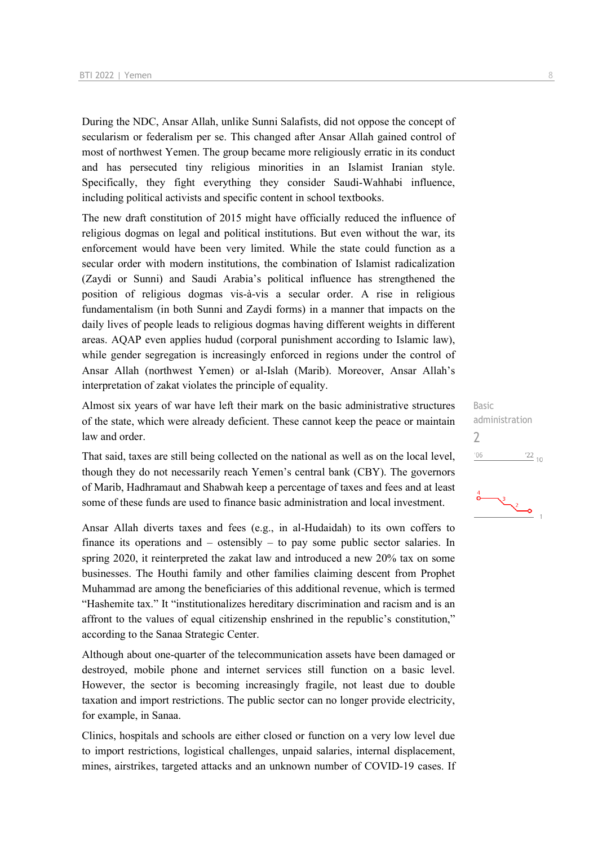During the NDC, Ansar Allah, unlike Sunni Salafists, did not oppose the concept of secularism or federalism per se. This changed after Ansar Allah gained control of most of northwest Yemen. The group became more religiously erratic in its conduct and has persecuted tiny religious minorities in an Islamist Iranian style. Specifically, they fight everything they consider Saudi-Wahhabi influence, including political activists and specific content in school textbooks.

The new draft constitution of 2015 might have officially reduced the influence of religious dogmas on legal and political institutions. But even without the war, its enforcement would have been very limited. While the state could function as a secular order with modern institutions, the combination of Islamist radicalization (Zaydi or Sunni) and Saudi Arabia's political influence has strengthened the position of religious dogmas vis-à-vis a secular order. A rise in religious fundamentalism (in both Sunni and Zaydi forms) in a manner that impacts on the daily lives of people leads to religious dogmas having different weights in different areas. AQAP even applies hudud (corporal punishment according to Islamic law), while gender segregation is increasingly enforced in regions under the control of Ansar Allah (northwest Yemen) or al-Islah (Marib). Moreover, Ansar Allah's interpretation of zakat violates the principle of equality.

Almost six years of war have left their mark on the basic administrative structures of the state, which were already deficient. These cannot keep the peace or maintain law and order.

That said, taxes are still being collected on the national as well as on the local level, though they do not necessarily reach Yemen's central bank (CBY). The governors of Marib, Hadhramaut and Shabwah keep a percentage of taxes and fees and at least some of these funds are used to finance basic administration and local investment.

Ansar Allah diverts taxes and fees (e.g., in al-Hudaidah) to its own coffers to finance its operations and – ostensibly – to pay some public sector salaries. In spring 2020, it reinterpreted the zakat law and introduced a new 20% tax on some businesses. The Houthi family and other families claiming descent from Prophet Muhammad are among the beneficiaries of this additional revenue, which is termed "Hashemite tax." It "institutionalizes hereditary discrimination and racism and is an affront to the values of equal citizenship enshrined in the republic's constitution," according to the Sanaa Strategic Center.

Although about one-quarter of the telecommunication assets have been damaged or destroyed, mobile phone and internet services still function on a basic level. However, the sector is becoming increasingly fragile, not least due to double taxation and import restrictions. The public sector can no longer provide electricity, for example, in Sanaa.

Clinics, hospitals and schools are either closed or function on a very low level due to import restrictions, logistical challenges, unpaid salaries, internal displacement, mines, airstrikes, targeted attacks and an unknown number of COVID-19 cases. If Basic administration  $\overline{\phantom{0}}$  $\frac{22}{10}$  $'06$ 

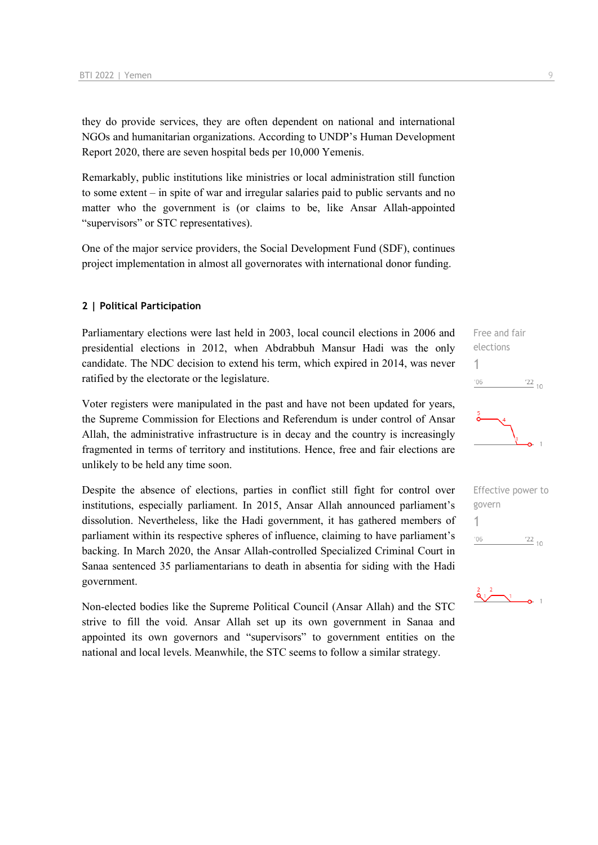they do provide services, they are often dependent on national and international NGOs and humanitarian organizations. According to UNDP's Human Development Report 2020, there are seven hospital beds per 10,000 Yemenis.

Remarkably, public institutions like ministries or local administration still function to some extent – in spite of war and irregular salaries paid to public servants and no matter who the government is (or claims to be, like Ansar Allah-appointed "supervisors" or STC representatives).

One of the major service providers, the Social Development Fund (SDF), continues project implementation in almost all governorates with international donor funding.

#### **2 | Political Participation**

Parliamentary elections were last held in 2003, local council elections in 2006 and presidential elections in 2012, when Abdrabbuh Mansur Hadi was the only candidate. The NDC decision to extend his term, which expired in 2014, was never ratified by the electorate or the legislature.

Voter registers were manipulated in the past and have not been updated for years, the Supreme Commission for Elections and Referendum is under control of Ansar Allah, the administrative infrastructure is in decay and the country is increasingly fragmented in terms of territory and institutions. Hence, free and fair elections are unlikely to be held any time soon.

Despite the absence of elections, parties in conflict still fight for control over institutions, especially parliament. In 2015, Ansar Allah announced parliament's dissolution. Nevertheless, like the Hadi government, it has gathered members of parliament within its respective spheres of influence, claiming to have parliament's backing. In March 2020, the Ansar Allah-controlled Specialized Criminal Court in Sanaa sentenced 35 parliamentarians to death in absentia for siding with the Hadi government.

Non-elected bodies like the Supreme Political Council (Ansar Allah) and the STC strive to fill the void. Ansar Allah set up its own government in Sanaa and appointed its own governors and "supervisors" to government entities on the national and local levels. Meanwhile, the STC seems to follow a similar strategy.





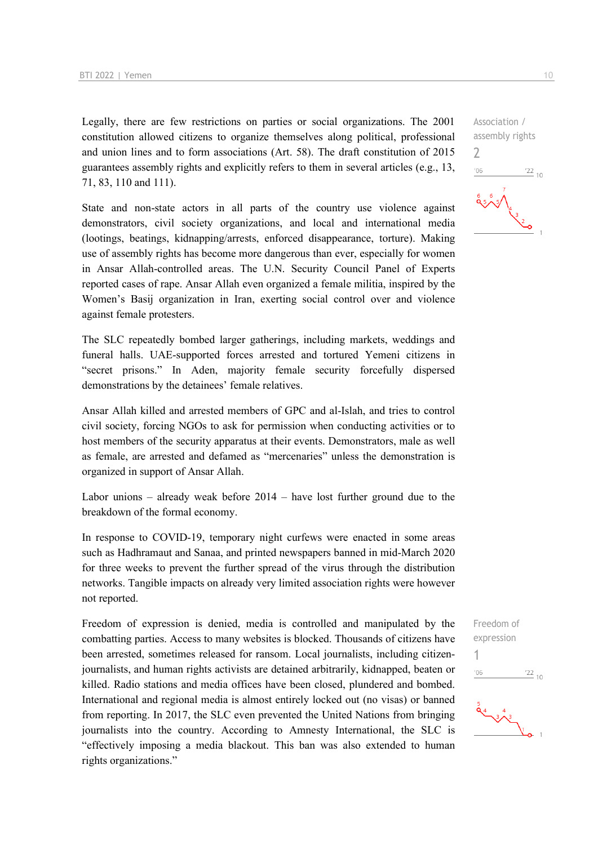Legally, there are few restrictions on parties or social organizations. The 2001 constitution allowed citizens to organize themselves along political, professional and union lines and to form associations (Art. 58). The draft constitution of 2015 guarantees assembly rights and explicitly refers to them in several articles (e.g., 13, 71, 83, 110 and 111).

State and non-state actors in all parts of the country use violence against demonstrators, civil society organizations, and local and international media (lootings, beatings, kidnapping/arrests, enforced disappearance, torture). Making use of assembly rights has become more dangerous than ever, especially for women in Ansar Allah-controlled areas. The U.N. Security Council Panel of Experts reported cases of rape. Ansar Allah even organized a female militia, inspired by the Women's Basij organization in Iran, exerting social control over and violence against female protesters.

The SLC repeatedly bombed larger gatherings, including markets, weddings and funeral halls. UAE-supported forces arrested and tortured Yemeni citizens in "secret prisons." In Aden, majority female security forcefully dispersed demonstrations by the detainees' female relatives.

Ansar Allah killed and arrested members of GPC and al-Islah, and tries to control civil society, forcing NGOs to ask for permission when conducting activities or to host members of the security apparatus at their events. Demonstrators, male as well as female, are arrested and defamed as "mercenaries" unless the demonstration is organized in support of Ansar Allah.

Labor unions – already weak before 2014 – have lost further ground due to the breakdown of the formal economy.

In response to COVID-19, temporary night curfews were enacted in some areas such as Hadhramaut and Sanaa, and printed newspapers banned in mid-March 2020 for three weeks to prevent the further spread of the virus through the distribution networks. Tangible impacts on already very limited association rights were however not reported.

Freedom of expression is denied, media is controlled and manipulated by the combatting parties. Access to many websites is blocked. Thousands of citizens have been arrested, sometimes released for ransom. Local journalists, including citizenjournalists, and human rights activists are detained arbitrarily, kidnapped, beaten or killed. Radio stations and media offices have been closed, plundered and bombed. International and regional media is almost entirely locked out (no visas) or banned from reporting. In 2017, the SLC even prevented the United Nations from bringing journalists into the country. According to Amnesty International, the SLC is "effectively imposing a media blackout. This ban was also extended to human rights organizations."

Association / assembly rights 2  $06'$  $\frac{22}{10}$ 

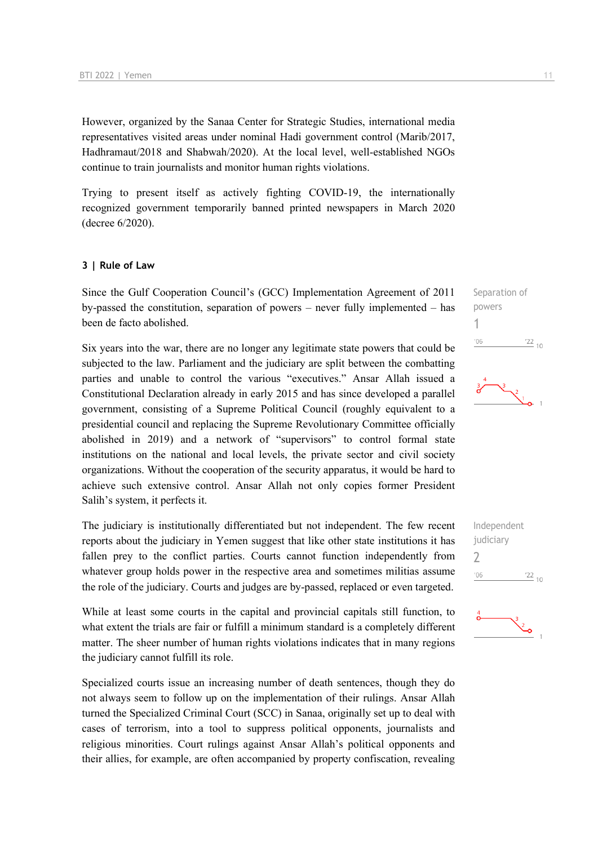However, organized by the Sanaa Center for Strategic Studies, international media representatives visited areas under nominal Hadi government control (Marib/2017, Hadhramaut/2018 and Shabwah/2020). At the local level, well-established NGOs continue to train journalists and monitor human rights violations.

Trying to present itself as actively fighting COVID-19, the internationally recognized government temporarily banned printed newspapers in March 2020 (decree 6/2020).

#### **3 | Rule of Law**

Since the Gulf Cooperation Council's (GCC) Implementation Agreement of 2011 by-passed the constitution, separation of powers – never fully implemented – has been de facto abolished.

Six years into the war, there are no longer any legitimate state powers that could be subjected to the law. Parliament and the judiciary are split between the combatting parties and unable to control the various "executives." Ansar Allah issued a Constitutional Declaration already in early 2015 and has since developed a parallel government, consisting of a Supreme Political Council (roughly equivalent to a presidential council and replacing the Supreme Revolutionary Committee officially abolished in 2019) and a network of "supervisors" to control formal state institutions on the national and local levels, the private sector and civil society organizations. Without the cooperation of the security apparatus, it would be hard to achieve such extensive control. Ansar Allah not only copies former President Salih's system, it perfects it.

The judiciary is institutionally differentiated but not independent. The few recent reports about the judiciary in Yemen suggest that like other state institutions it has fallen prey to the conflict parties. Courts cannot function independently from whatever group holds power in the respective area and sometimes militias assume the role of the judiciary. Courts and judges are by-passed, replaced or even targeted.

While at least some courts in the capital and provincial capitals still function, to what extent the trials are fair or fulfill a minimum standard is a completely different matter. The sheer number of human rights violations indicates that in many regions the judiciary cannot fulfill its role.

Specialized courts issue an increasing number of death sentences, though they do not always seem to follow up on the implementation of their rulings. Ansar Allah turned the Specialized Criminal Court (SCC) in Sanaa, originally set up to deal with cases of terrorism, into a tool to suppress political opponents, journalists and religious minorities. Court rulings against Ansar Allah's political opponents and their allies, for example, are often accompanied by property confiscation, revealing

Separation of powers 1  $\frac{22}{10}$  $-06$ 



Independent judiciary  $\overline{\phantom{0}}$  $\frac{22}{10}$  $^{\prime}06$ 

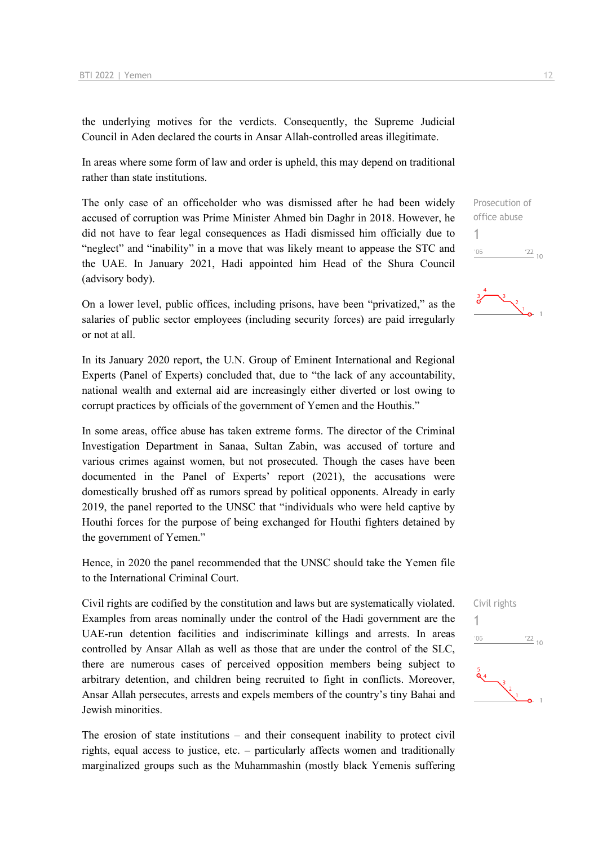the underlying motives for the verdicts. Consequently, the Supreme Judicial Council in Aden declared the courts in Ansar Allah-controlled areas illegitimate.

In areas where some form of law and order is upheld, this may depend on traditional rather than state institutions.

The only case of an officeholder who was dismissed after he had been widely accused of corruption was Prime Minister Ahmed bin Daghr in 2018. However, he did not have to fear legal consequences as Hadi dismissed him officially due to "neglect" and "inability" in a move that was likely meant to appease the STC and the UAE. In January 2021, Hadi appointed him Head of the Shura Council (advisory body).

On a lower level, public offices, including prisons, have been "privatized," as the salaries of public sector employees (including security forces) are paid irregularly or not at all.

In its January 2020 report, the U.N. Group of Eminent International and Regional Experts (Panel of Experts) concluded that, due to "the lack of any accountability, national wealth and external aid are increasingly either diverted or lost owing to corrupt practices by officials of the government of Yemen and the Houthis."

In some areas, office abuse has taken extreme forms. The director of the Criminal Investigation Department in Sanaa, Sultan Zabin, was accused of torture and various crimes against women, but not prosecuted. Though the cases have been documented in the Panel of Experts' report (2021), the accusations were domestically brushed off as rumors spread by political opponents. Already in early 2019, the panel reported to the UNSC that "individuals who were held captive by Houthi forces for the purpose of being exchanged for Houthi fighters detained by the government of Yemen."

Hence, in 2020 the panel recommended that the UNSC should take the Yemen file to the International Criminal Court.

Civil rights are codified by the constitution and laws but are systematically violated. Examples from areas nominally under the control of the Hadi government are the UAE-run detention facilities and indiscriminate killings and arrests. In areas controlled by Ansar Allah as well as those that are under the control of the SLC, there are numerous cases of perceived opposition members being subject to arbitrary detention, and children being recruited to fight in conflicts. Moreover, Ansar Allah persecutes, arrests and expels members of the country's tiny Bahai and Jewish minorities.

The erosion of state institutions – and their consequent inability to protect civil rights, equal access to justice, etc. – particularly affects women and traditionally marginalized groups such as the Muhammashin (mostly black Yemenis suffering Prosecution of office abuse 1  $'06$  $\frac{22}{10}$ 



Civil rights 1 $106$  $\frac{22}{10}$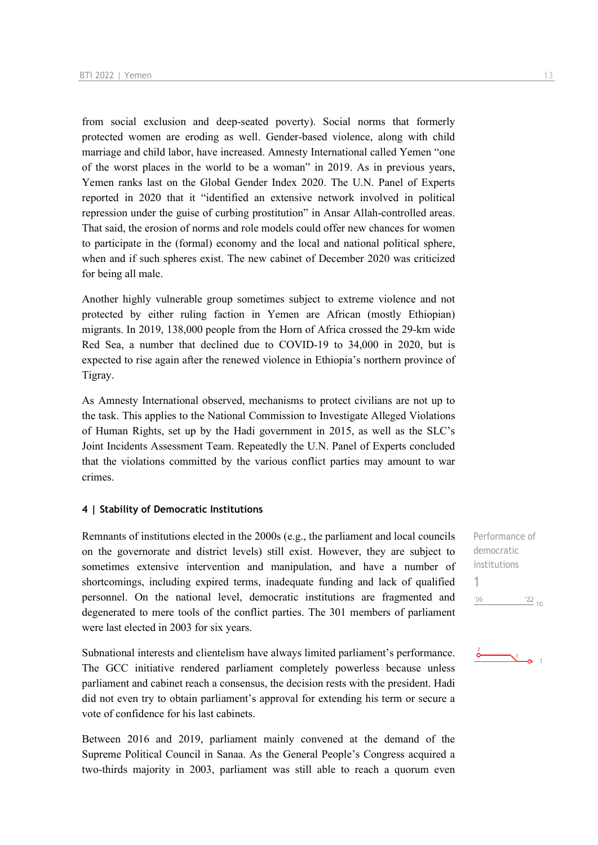from social exclusion and deep-seated poverty). Social norms that formerly protected women are eroding as well. Gender-based violence, along with child marriage and child labor, have increased. Amnesty International called Yemen "one of the worst places in the world to be a woman" in 2019. As in previous years, Yemen ranks last on the Global Gender Index 2020. The U.N. Panel of Experts reported in 2020 that it "identified an extensive network involved in political repression under the guise of curbing prostitution" in Ansar Allah-controlled areas. That said, the erosion of norms and role models could offer new chances for women to participate in the (formal) economy and the local and national political sphere, when and if such spheres exist. The new cabinet of December 2020 was criticized for being all male.

Another highly vulnerable group sometimes subject to extreme violence and not protected by either ruling faction in Yemen are African (mostly Ethiopian) migrants. In 2019, 138,000 people from the Horn of Africa crossed the 29-km wide Red Sea, a number that declined due to COVID-19 to 34,000 in 2020, but is expected to rise again after the renewed violence in Ethiopia's northern province of Tigray.

As Amnesty International observed, mechanisms to protect civilians are not up to the task. This applies to the National Commission to Investigate Alleged Violations of Human Rights, set up by the Hadi government in 2015, as well as the SLC's Joint Incidents Assessment Team. Repeatedly the U.N. Panel of Experts concluded that the violations committed by the various conflict parties may amount to war crimes.

#### **4 | Stability of Democratic Institutions**

Remnants of institutions elected in the 2000s (e.g., the parliament and local councils on the governorate and district levels) still exist. However, they are subject to sometimes extensive intervention and manipulation, and have a number of shortcomings, including expired terms, inadequate funding and lack of qualified personnel. On the national level, democratic institutions are fragmented and degenerated to mere tools of the conflict parties. The 301 members of parliament were last elected in 2003 for six years.

Subnational interests and clientelism have always limited parliament's performance. The GCC initiative rendered parliament completely powerless because unless parliament and cabinet reach a consensus, the decision rests with the president. Hadi did not even try to obtain parliament's approval for extending his term or secure a vote of confidence for his last cabinets.

Between 2016 and 2019, parliament mainly convened at the demand of the Supreme Political Council in Sanaa. As the General People's Congress acquired a two-thirds majority in 2003, parliament was still able to reach a quorum even

Performance of democratic institutions 1 $'06$  $'22_{10}$ 

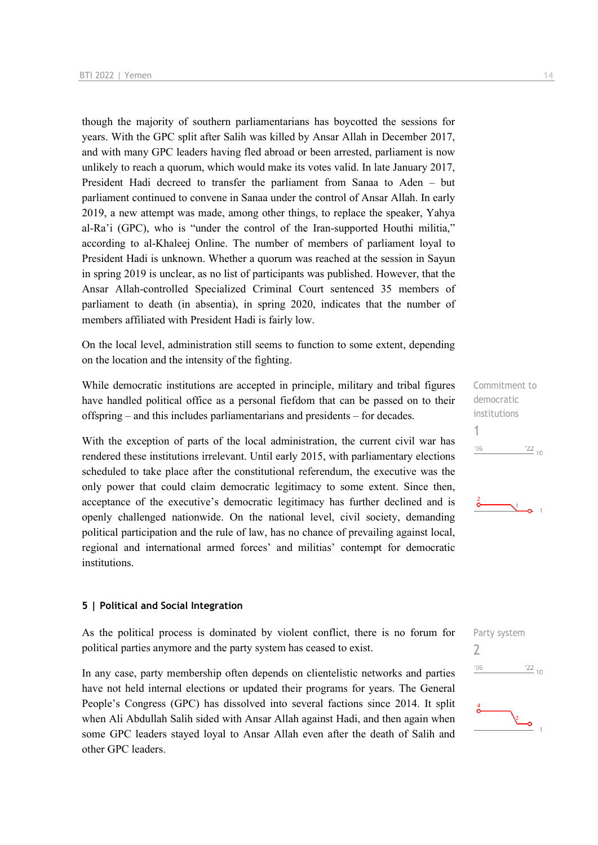though the majority of southern parliamentarians has boycotted the sessions for years. With the GPC split after Salih was killed by Ansar Allah in December 2017, and with many GPC leaders having fled abroad or been arrested, parliament is now unlikely to reach a quorum, which would make its votes valid. In late January 2017, President Hadi decreed to transfer the parliament from Sanaa to Aden – but parliament continued to convene in Sanaa under the control of Ansar Allah. In early 2019, a new attempt was made, among other things, to replace the speaker, Yahya al-Ra'i (GPC), who is "under the control of the Iran-supported Houthi militia," according to al-Khaleej Online. The number of members of parliament loyal to President Hadi is unknown. Whether a quorum was reached at the session in Sayun in spring 2019 is unclear, as no list of participants was published. However, that the Ansar Allah-controlled Specialized Criminal Court sentenced 35 members of parliament to death (in absentia), in spring 2020, indicates that the number of members affiliated with President Hadi is fairly low.

On the local level, administration still seems to function to some extent, depending on the location and the intensity of the fighting.

While democratic institutions are accepted in principle, military and tribal figures have handled political office as a personal fiefdom that can be passed on to their offspring – and this includes parliamentarians and presidents – for decades.

With the exception of parts of the local administration, the current civil war has rendered these institutions irrelevant. Until early 2015, with parliamentary elections scheduled to take place after the constitutional referendum, the executive was the only power that could claim democratic legitimacy to some extent. Since then, acceptance of the executive's democratic legitimacy has further declined and is openly challenged nationwide. On the national level, civil society, demanding political participation and the rule of law, has no chance of prevailing against local, regional and international armed forces' and militias' contempt for democratic institutions.

#### **5 | Political and Social Integration**

As the political process is dominated by violent conflict, there is no forum for political parties anymore and the party system has ceased to exist.

In any case, party membership often depends on clientelistic networks and parties have not held internal elections or updated their programs for years. The General People's Congress (GPC) has dissolved into several factions since 2014. It split when Ali Abdullah Salih sided with Ansar Allah against Hadi, and then again when some GPC leaders stayed loyal to Ansar Allah even after the death of Salih and other GPC leaders.





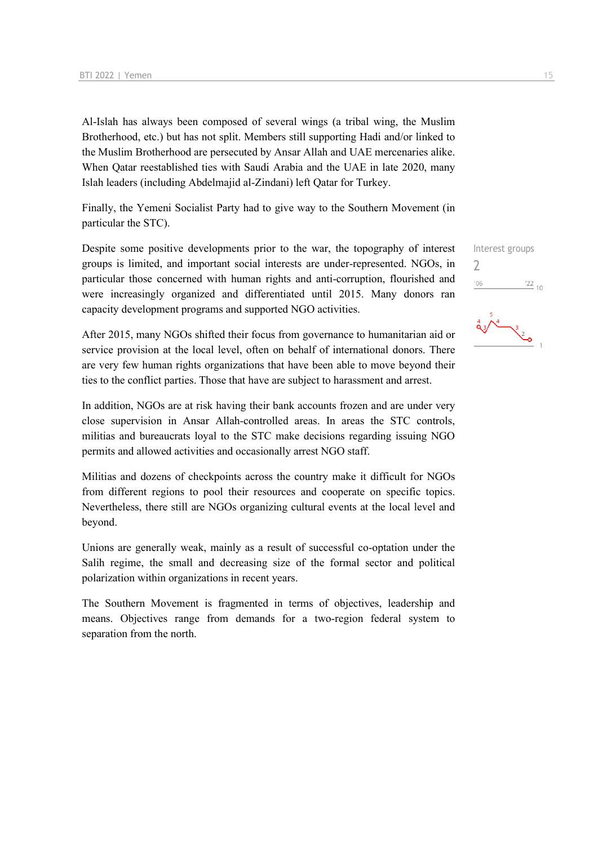Al-Islah has always been composed of several wings (a tribal wing, the Muslim Brotherhood, etc.) but has not split. Members still supporting Hadi and/or linked to the Muslim Brotherhood are persecuted by Ansar Allah and UAE mercenaries alike. When Qatar reestablished ties with Saudi Arabia and the UAE in late 2020, many Islah leaders (including Abdelmajid al-Zindani) left Qatar for Turkey.

Finally, the Yemeni Socialist Party had to give way to the Southern Movement (in particular the STC).

Despite some positive developments prior to the war, the topography of interest groups is limited, and important social interests are under-represented. NGOs, in particular those concerned with human rights and anti-corruption, flourished and were increasingly organized and differentiated until 2015. Many donors ran capacity development programs and supported NGO activities.

After 2015, many NGOs shifted their focus from governance to humanitarian aid or service provision at the local level, often on behalf of international donors. There are very few human rights organizations that have been able to move beyond their ties to the conflict parties. Those that have are subject to harassment and arrest.

In addition, NGOs are at risk having their bank accounts frozen and are under very close supervision in Ansar Allah-controlled areas. In areas the STC controls, militias and bureaucrats loyal to the STC make decisions regarding issuing NGO permits and allowed activities and occasionally arrest NGO staff.

Militias and dozens of checkpoints across the country make it difficult for NGOs from different regions to pool their resources and cooperate on specific topics. Nevertheless, there still are NGOs organizing cultural events at the local level and beyond.

Unions are generally weak, mainly as a result of successful co-optation under the Salih regime, the small and decreasing size of the formal sector and political polarization within organizations in recent years.

The Southern Movement is fragmented in terms of objectives, leadership and means. Objectives range from demands for a two-region federal system to separation from the north.

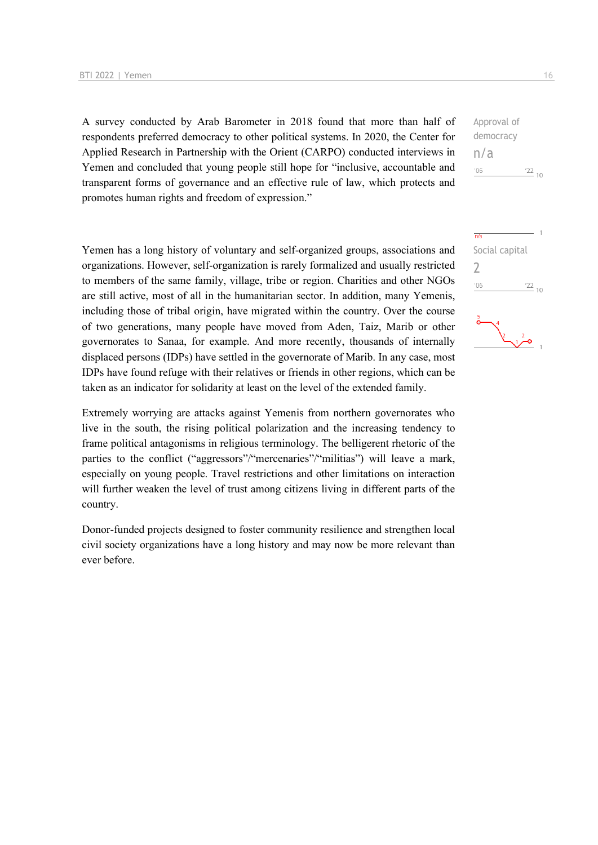A survey conducted by Arab Barometer in 2018 found that more than half of respondents preferred democracy to other political systems. In 2020, the Center for Applied Research in Partnership with the Orient (CARPO) conducted interviews in Yemen and concluded that young people still hope for "inclusive, accountable and transparent forms of governance and an effective rule of law, which protects and promotes human rights and freedom of expression."

Yemen has a long history of voluntary and self-organized groups, associations and organizations. However, self-organization is rarely formalized and usually restricted to members of the same family, village, tribe or region. Charities and other NGOs are still active, most of all in the humanitarian sector. In addition, many Yemenis, including those of tribal origin, have migrated within the country. Over the course of two generations, many people have moved from Aden, Taiz, Marib or other governorates to Sanaa, for example. And more recently, thousands of internally displaced persons (IDPs) have settled in the governorate of Marib. In any case, most IDPs have found refuge with their relatives or friends in other regions, which can be taken as an indicator for solidarity at least on the level of the extended family.

Extremely worrying are attacks against Yemenis from northern governorates who live in the south, the rising political polarization and the increasing tendency to frame political antagonisms in religious terminology. The belligerent rhetoric of the parties to the conflict ("aggressors"/"mercenaries"/"militias") will leave a mark, especially on young people. Travel restrictions and other limitations on interaction will further weaken the level of trust among citizens living in different parts of the country.

Donor-funded projects designed to foster community resilience and strengthen local civil society organizations have a long history and may now be more relevant than ever before.

democracy n/a  $-06$  $^{22}$  10

Approval of

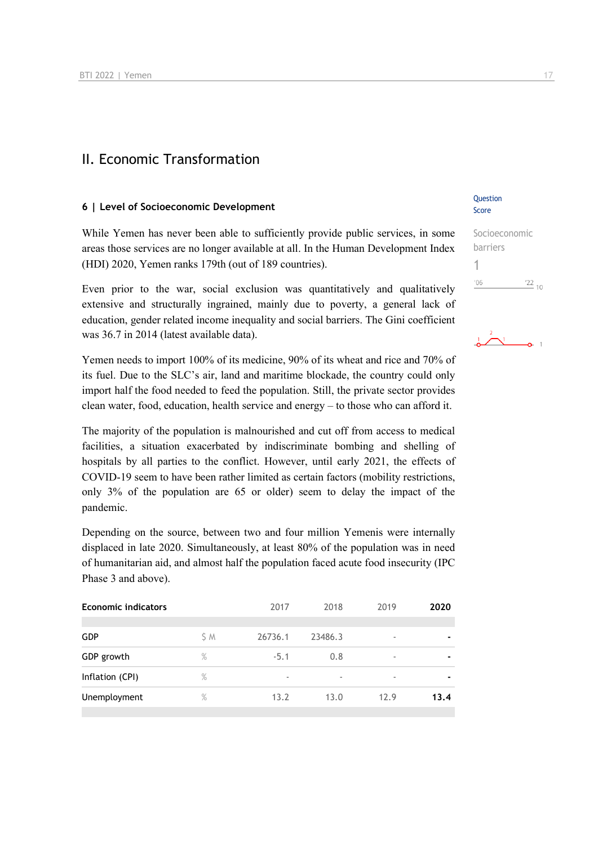## II. Economic Transformation

#### **6 | Level of Socioeconomic Development**

While Yemen has never been able to sufficiently provide public services, in some areas those services are no longer available at all. In the Human Development Index (HDI) 2020, Yemen ranks 179th (out of 189 countries).

Even prior to the war, social exclusion was quantitatively and qualitatively extensive and structurally ingrained, mainly due to poverty, a general lack of education, gender related income inequality and social barriers. The Gini coefficient was 36.7 in 2014 (latest available data).

## Yemen needs to import 100% of its medicine, 90% of its wheat and rice and 70% of its fuel. Due to the SLC's air, land and maritime blockade, the country could only import half the food needed to feed the population. Still, the private sector provides clean water, food, education, health service and energy – to those who can afford it.

The majority of the population is malnourished and cut off from access to medical facilities, a situation exacerbated by indiscriminate bombing and shelling of hospitals by all parties to the conflict. However, until early 2021, the effects of COVID-19 seem to have been rather limited as certain factors (mobility restrictions, only 3% of the population are 65 or older) seem to delay the impact of the pandemic.

Depending on the source, between two and four million Yemenis were internally displaced in late 2020. Simultaneously, at least 80% of the population was in need of humanitarian aid, and almost half the population faced acute food insecurity (IPC Phase 3 and above).

| <b>Economic indicators</b> | 2017 | 2018    | 2019    | 2020                     |                |
|----------------------------|------|---------|---------|--------------------------|----------------|
| <b>GDP</b>                 | S M  | 26736.1 | 23486.3 | ٠                        | $\blacksquare$ |
| GDP growth                 | $\%$ | $-5.1$  | 0.8     | $\overline{\phantom{a}}$ | $\blacksquare$ |
| Inflation (CPI)            | $\%$ |         |         | $\overline{\phantom{a}}$ |                |
| Unemployment               | $\%$ | 13.2    | 13.0    | 12.9                     | 13.4           |
|                            |      |         |         |                          |                |

#### **Ouestion** Score

#### Socioeconomic barriers 1  $\frac{22}{10}$  $^{\prime}06$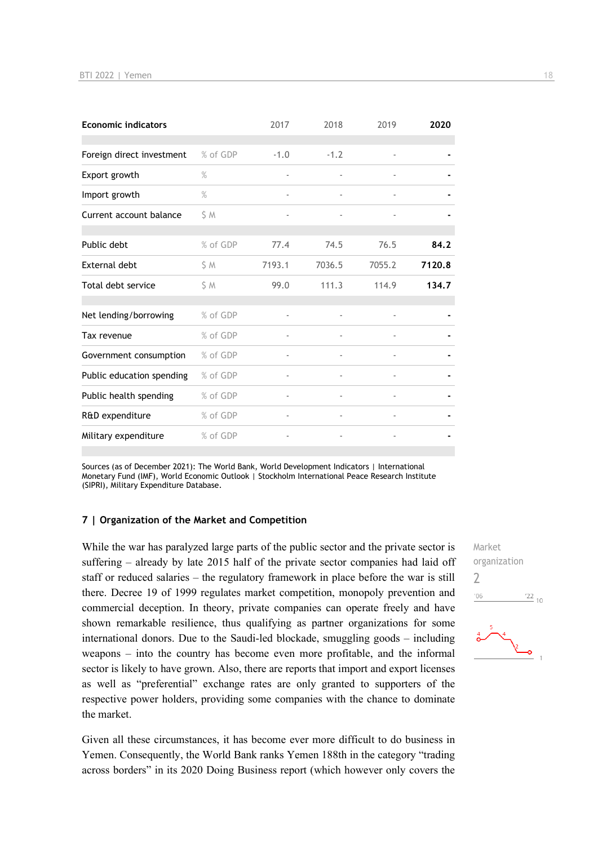| <b>Economic indicators</b> |          | 2017                     | 2018   | 2019                     | 2020   |
|----------------------------|----------|--------------------------|--------|--------------------------|--------|
| Foreign direct investment  | % of GDP | $-1.0$                   | $-1.2$ | $\overline{\phantom{a}}$ |        |
| Export growth              | $\%$     | $\overline{\phantom{m}}$ |        |                          |        |
| Import growth              | $\%$     | $\overline{\phantom{m}}$ |        |                          |        |
| Current account balance    | S M      |                          |        |                          |        |
| Public debt                | % of GDP | 77.4                     | 74.5   | 76.5                     | 84.2   |
| External debt              | \$ M     | 7193.1                   | 7036.5 | 7055.2                   | 7120.8 |
| Total debt service         | S M      | 99.0                     | 111.3  | 114.9                    | 134.7  |
| Net lending/borrowing      | % of GDP |                          |        |                          |        |
| Tax revenue                | % of GDP |                          |        |                          |        |
| Government consumption     | % of GDP | $\overline{\phantom{a}}$ |        | $\blacksquare$           |        |
| Public education spending  | % of GDP |                          |        |                          |        |
| Public health spending     | % of GDP |                          |        |                          |        |
| R&D expenditure            | % of GDP | $\overline{\phantom{m}}$ |        | $\overline{\phantom{a}}$ |        |
| Military expenditure       | % of GDP | $\overline{\phantom{a}}$ |        |                          |        |

Sources (as of December 2021): The World Bank, World Development Indicators | International Monetary Fund (IMF), World Economic Outlook | Stockholm International Peace Research Institute (SIPRI), Military Expenditure Database.

#### **7 | Organization of the Market and Competition**

While the war has paralyzed large parts of the public sector and the private sector is suffering – already by late 2015 half of the private sector companies had laid off staff or reduced salaries – the regulatory framework in place before the war is still there. Decree 19 of 1999 regulates market competition, monopoly prevention and commercial deception. In theory, private companies can operate freely and have shown remarkable resilience, thus qualifying as partner organizations for some international donors. Due to the Saudi-led blockade, smuggling goods – including weapons – into the country has become even more profitable, and the informal sector is likely to have grown. Also, there are reports that import and export licenses as well as "preferential" exchange rates are only granted to supporters of the respective power holders, providing some companies with the chance to dominate the market.

Given all these circumstances, it has become ever more difficult to do business in Yemen. Consequently, the World Bank ranks Yemen 188th in the category "trading across borders" in its 2020 Doing Business report (which however only covers the

Market organization  $\overline{\phantom{0}}$  $\frac{22}{10}$  $06'$ 

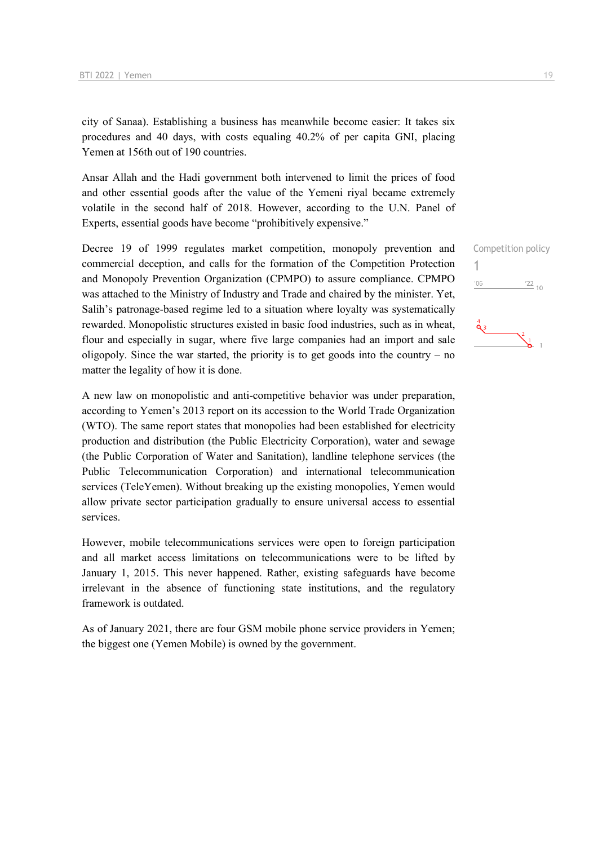city of Sanaa). Establishing a business has meanwhile become easier: It takes six procedures and 40 days, with costs equaling 40.2% of per capita GNI, placing Yemen at 156th out of 190 countries.

Ansar Allah and the Hadi government both intervened to limit the prices of food and other essential goods after the value of the Yemeni riyal became extremely volatile in the second half of 2018. However, according to the U.N. Panel of Experts, essential goods have become "prohibitively expensive."

Decree 19 of 1999 regulates market competition, monopoly prevention and commercial deception, and calls for the formation of the Competition Protection and Monopoly Prevention Organization (CPMPO) to assure compliance. CPMPO was attached to the Ministry of Industry and Trade and chaired by the minister. Yet, Salih's patronage-based regime led to a situation where loyalty was systematically rewarded. Monopolistic structures existed in basic food industries, such as in wheat, flour and especially in sugar, where five large companies had an import and sale oligopoly. Since the war started, the priority is to get goods into the country  $-$  no matter the legality of how it is done.

A new law on monopolistic and anti-competitive behavior was under preparation, according to Yemen's 2013 report on its accession to the World Trade Organization (WTO). The same report states that monopolies had been established for electricity production and distribution (the Public Electricity Corporation), water and sewage (the Public Corporation of Water and Sanitation), landline telephone services (the Public Telecommunication Corporation) and international telecommunication services (TeleYemen). Without breaking up the existing monopolies, Yemen would allow private sector participation gradually to ensure universal access to essential services.

However, mobile telecommunications services were open to foreign participation and all market access limitations on telecommunications were to be lifted by January 1, 2015. This never happened. Rather, existing safeguards have become irrelevant in the absence of functioning state institutions, and the regulatory framework is outdated.

As of January 2021, there are four GSM mobile phone service providers in Yemen; the biggest one (Yemen Mobile) is owned by the government.

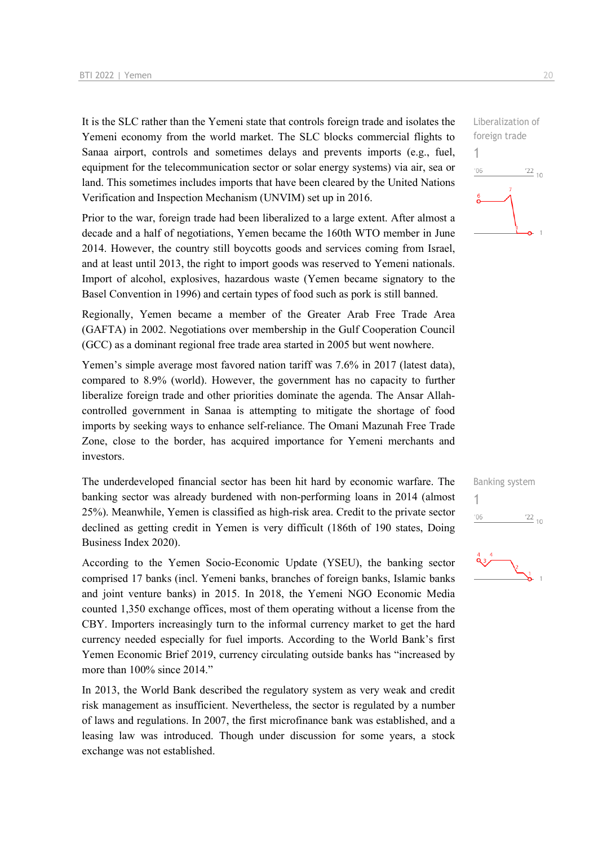It is the SLC rather than the Yemeni state that controls foreign trade and isolates the Yemeni economy from the world market. The SLC blocks commercial flights to Sanaa airport, controls and sometimes delays and prevents imports (e.g., fuel, equipment for the telecommunication sector or solar energy systems) via air, sea or land. This sometimes includes imports that have been cleared by the United Nations Verification and Inspection Mechanism (UNVIM) set up in 2016.

Prior to the war, foreign trade had been liberalized to a large extent. After almost a decade and a half of negotiations, Yemen became the 160th WTO member in June 2014. However, the country still boycotts goods and services coming from Israel, and at least until 2013, the right to import goods was reserved to Yemeni nationals. Import of alcohol, explosives, hazardous waste (Yemen became signatory to the Basel Convention in 1996) and certain types of food such as pork is still banned.

Regionally, Yemen became a member of the Greater Arab Free Trade Area (GAFTA) in 2002. Negotiations over membership in the Gulf Cooperation Council (GCC) as a dominant regional free trade area started in 2005 but went nowhere.

Yemen's simple average most favored nation tariff was 7.6% in 2017 (latest data), compared to 8.9% (world). However, the government has no capacity to further liberalize foreign trade and other priorities dominate the agenda. The Ansar Allahcontrolled government in Sanaa is attempting to mitigate the shortage of food imports by seeking ways to enhance self-reliance. The Omani Mazunah Free Trade Zone, close to the border, has acquired importance for Yemeni merchants and investors.

The underdeveloped financial sector has been hit hard by economic warfare. The banking sector was already burdened with non-performing loans in 2014 (almost 25%). Meanwhile, Yemen is classified as high-risk area. Credit to the private sector declined as getting credit in Yemen is very difficult (186th of 190 states, Doing Business Index 2020).

According to the Yemen Socio-Economic Update (YSEU), the banking sector comprised 17 banks (incl. Yemeni banks, branches of foreign banks, Islamic banks and joint venture banks) in 2015. In 2018, the Yemeni NGO Economic Media counted 1,350 exchange offices, most of them operating without a license from the CBY. Importers increasingly turn to the informal currency market to get the hard currency needed especially for fuel imports. According to the World Bank's first Yemen Economic Brief 2019, currency circulating outside banks has "increased by more than 100% since 2014."

In 2013, the World Bank described the regulatory system as very weak and credit risk management as insufficient. Nevertheless, the sector is regulated by a number of laws and regulations. In 2007, the first microfinance bank was established, and a leasing law was introduced. Though under discussion for some years, a stock exchange was not established.





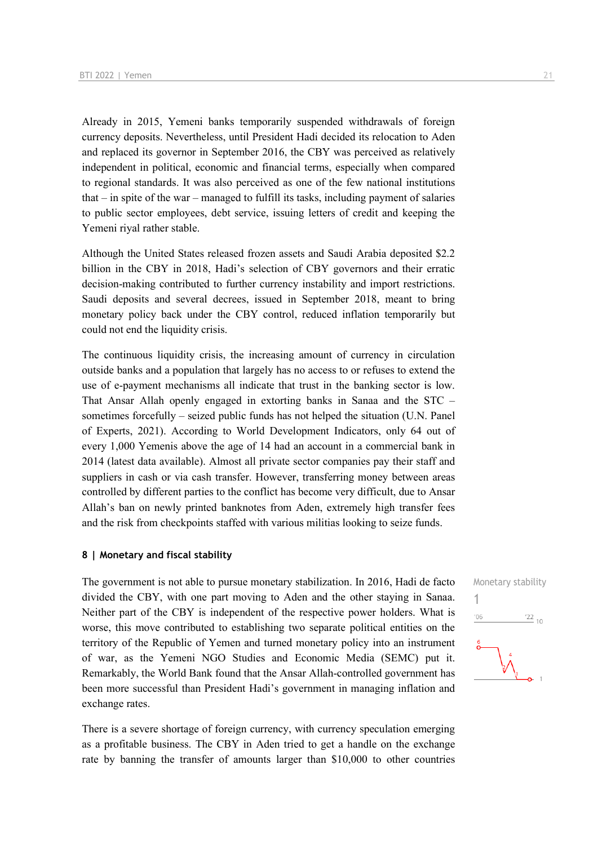Already in 2015, Yemeni banks temporarily suspended withdrawals of foreign currency deposits. Nevertheless, until President Hadi decided its relocation to Aden and replaced its governor in September 2016, the CBY was perceived as relatively independent in political, economic and financial terms, especially when compared to regional standards. It was also perceived as one of the few national institutions that – in spite of the war – managed to fulfill its tasks, including payment of salaries to public sector employees, debt service, issuing letters of credit and keeping the Yemeni riyal rather stable.

Although the United States released frozen assets and Saudi Arabia deposited \$2.2 billion in the CBY in 2018, Hadi's selection of CBY governors and their erratic decision-making contributed to further currency instability and import restrictions. Saudi deposits and several decrees, issued in September 2018, meant to bring monetary policy back under the CBY control, reduced inflation temporarily but could not end the liquidity crisis.

The continuous liquidity crisis, the increasing amount of currency in circulation outside banks and a population that largely has no access to or refuses to extend the use of e-payment mechanisms all indicate that trust in the banking sector is low. That Ansar Allah openly engaged in extorting banks in Sanaa and the STC – sometimes forcefully – seized public funds has not helped the situation (U.N. Panel of Experts, 2021). According to World Development Indicators, only 64 out of every 1,000 Yemenis above the age of 14 had an account in a commercial bank in 2014 (latest data available). Almost all private sector companies pay their staff and suppliers in cash or via cash transfer. However, transferring money between areas controlled by different parties to the conflict has become very difficult, due to Ansar Allah's ban on newly printed banknotes from Aden, extremely high transfer fees and the risk from checkpoints staffed with various militias looking to seize funds.

#### **8 | Monetary and fiscal stability**

The government is not able to pursue monetary stabilization. In 2016, Hadi de facto divided the CBY, with one part moving to Aden and the other staying in Sanaa. Neither part of the CBY is independent of the respective power holders. What is worse, this move contributed to establishing two separate political entities on the territory of the Republic of Yemen and turned monetary policy into an instrument of war, as the Yemeni NGO Studies and Economic Media (SEMC) put it. Remarkably, the World Bank found that the Ansar Allah-controlled government has been more successful than President Hadi's government in managing inflation and exchange rates.

There is a severe shortage of foreign currency, with currency speculation emerging as a profitable business. The CBY in Aden tried to get a handle on the exchange rate by banning the transfer of amounts larger than \$10,000 to other countries

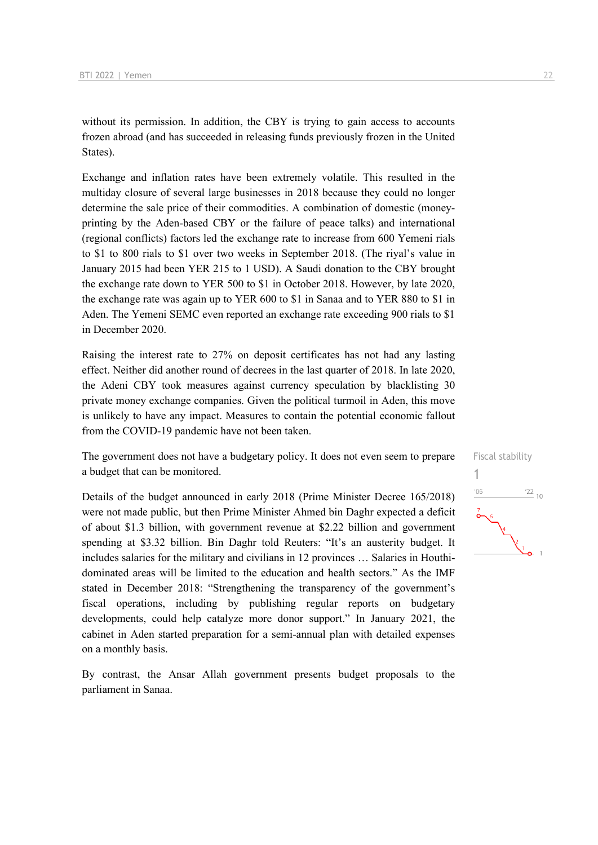without its permission. In addition, the CBY is trying to gain access to accounts frozen abroad (and has succeeded in releasing funds previously frozen in the United States).

Exchange and inflation rates have been extremely volatile. This resulted in the multiday closure of several large businesses in 2018 because they could no longer determine the sale price of their commodities. A combination of domestic (moneyprinting by the Aden-based CBY or the failure of peace talks) and international (regional conflicts) factors led the exchange rate to increase from 600 Yemeni rials to \$1 to 800 rials to \$1 over two weeks in September 2018. (The riyal's value in January 2015 had been YER 215 to 1 USD). A Saudi donation to the CBY brought the exchange rate down to YER 500 to \$1 in October 2018. However, by late 2020, the exchange rate was again up to YER 600 to \$1 in Sanaa and to YER 880 to \$1 in Aden. The Yemeni SEMC even reported an exchange rate exceeding 900 rials to \$1 in December 2020.

Raising the interest rate to 27% on deposit certificates has not had any lasting effect. Neither did another round of decrees in the last quarter of 2018. In late 2020, the Adeni CBY took measures against currency speculation by blacklisting 30 private money exchange companies. Given the political turmoil in Aden, this move is unlikely to have any impact. Measures to contain the potential economic fallout from the COVID-19 pandemic have not been taken.

The government does not have a budgetary policy. It does not even seem to prepare a budget that can be monitored.

Details of the budget announced in early 2018 (Prime Minister Decree 165/2018) were not made public, but then Prime Minister Ahmed bin Daghr expected a deficit of about \$1.3 billion, with government revenue at \$2.22 billion and government spending at \$3.32 billion. Bin Daghr told Reuters: "It's an austerity budget. It includes salaries for the military and civilians in 12 provinces … Salaries in Houthidominated areas will be limited to the education and health sectors." As the IMF stated in December 2018: "Strengthening the transparency of the government's fiscal operations, including by publishing regular reports on budgetary developments, could help catalyze more donor support." In January 2021, the cabinet in Aden started preparation for a semi-annual plan with detailed expenses on a monthly basis.

By contrast, the Ansar Allah government presents budget proposals to the parliament in Sanaa.

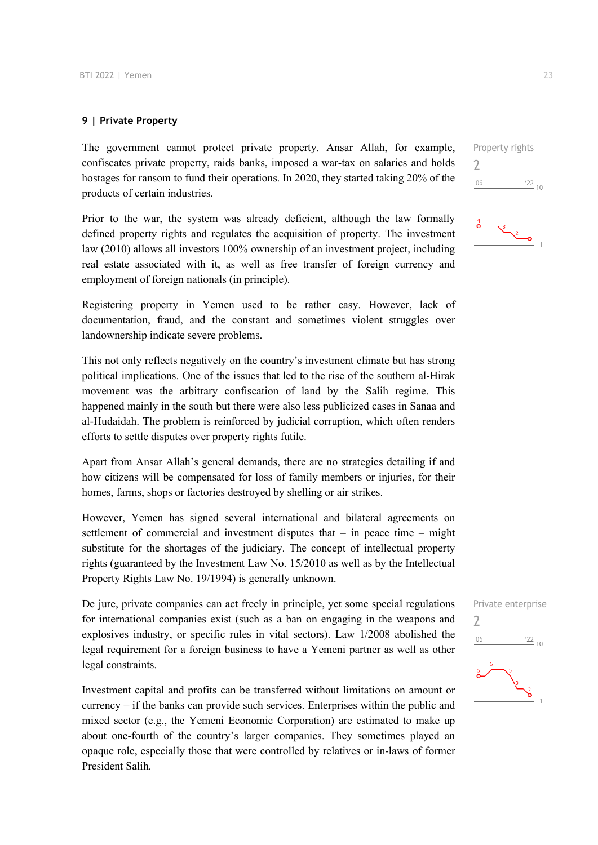#### **9 | Private Property**

The government cannot protect private property. Ansar Allah, for example, confiscates private property, raids banks, imposed a war-tax on salaries and holds hostages for ransom to fund their operations. In 2020, they started taking 20% of the products of certain industries.

Prior to the war, the system was already deficient, although the law formally defined property rights and regulates the acquisition of property. The investment law (2010) allows all investors 100% ownership of an investment project, including real estate associated with it, as well as free transfer of foreign currency and employment of foreign nationals (in principle).

Registering property in Yemen used to be rather easy. However, lack of documentation, fraud, and the constant and sometimes violent struggles over landownership indicate severe problems.

This not only reflects negatively on the country's investment climate but has strong political implications. One of the issues that led to the rise of the southern al-Hirak movement was the arbitrary confiscation of land by the Salih regime. This happened mainly in the south but there were also less publicized cases in Sanaa and al-Hudaidah. The problem is reinforced by judicial corruption, which often renders efforts to settle disputes over property rights futile.

Apart from Ansar Allah's general demands, there are no strategies detailing if and how citizens will be compensated for loss of family members or injuries, for their homes, farms, shops or factories destroyed by shelling or air strikes.

However, Yemen has signed several international and bilateral agreements on settlement of commercial and investment disputes that – in peace time – might substitute for the shortages of the judiciary. The concept of intellectual property rights (guaranteed by the Investment Law No. 15/2010 as well as by the Intellectual Property Rights Law No. 19/1994) is generally unknown.

De jure, private companies can act freely in principle, yet some special regulations for international companies exist (such as a ban on engaging in the weapons and explosives industry, or specific rules in vital sectors). Law 1/2008 abolished the legal requirement for a foreign business to have a Yemeni partner as well as other legal constraints.

Investment capital and profits can be transferred without limitations on amount or  $curreney - if the banks can provide such services. Enterprise within the public and$ mixed sector (e.g., the Yemeni Economic Corporation) are estimated to make up about one-fourth of the country's larger companies. They sometimes played an opaque role, especially those that were controlled by relatives or in-laws of former President Salih.

Property rights 2  $'06$  $\frac{22}{10}$ 



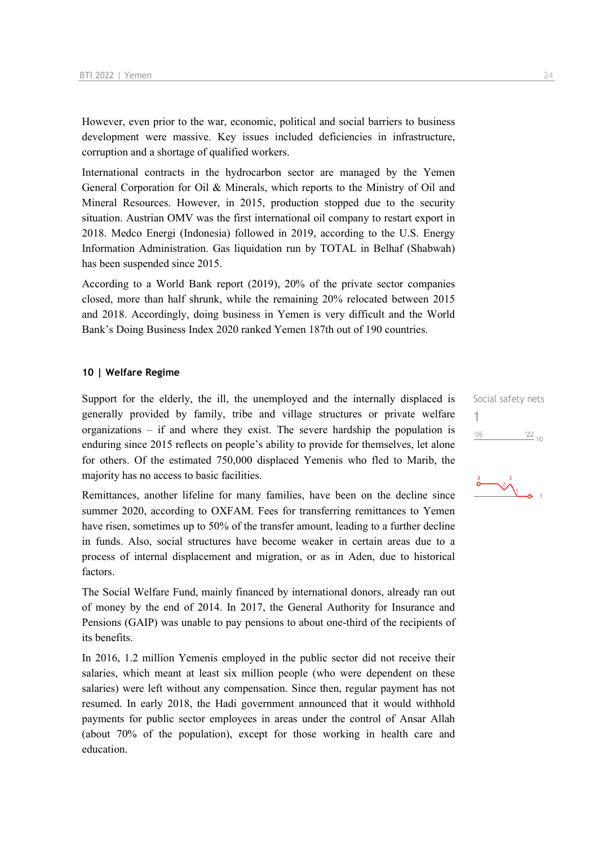However, even prior to the war, economic, political and social barriers to business development were massive. Key issues included deficiencies in infrastructure, corruption and a shortage of qualified workers.

International contracts in the hydrocarbon sector are managed by the Yemen General Corporation for Oil & Minerals, which reports to the Ministry of Oil and Mineral Resources. However, in 2015, production stopped due to the security situation. Austrian OMV was the first international oil company to restart export in 2018. Medco Energi (Indonesia) followed in 2019, according to the U.S. Energy Information Administration. Gas liquidation run by TOTAL in Belhaf (Shabwah) has been suspended since 2015.

According to a World Bank report (2019), 20% of the private sector companies closed, more than half shrunk, while the remaining 20% relocated between 2015 and 2018. Accordingly, doing business in Yemen is very difficult and the World Bank's Doing Business Index 2020 ranked Yemen 187th out of 190 countries.

#### **10 | Welfare Regime**

Support for the elderly, the ill, the unemployed and the internally displaced is generally provided by family, tribe and village structures or private welfare organizations – if and where they exist. The severe hardship the population is enduring since 2015 reflects on people's ability to provide for themselves, let alone for others. Of the estimated 750,000 displaced Yemenis who fled to Marib, the majority has no access to basic facilities.

Remittances, another lifeline for many families, have been on the decline since summer 2020, according to OXFAM. Fees for transferring remittances to Yemen have risen, sometimes up to 50% of the transfer amount, leading to a further decline in funds. Also, social structures have become weaker in certain areas due to a process of internal displacement and migration, or as in Aden, due to historical factors.

The Social Welfare Fund, mainly financed by international donors, already ran out of money by the end of 2014. In 2017, the General Authority for Insurance and Pensions (GAIP) was unable to pay pensions to about one-third of the recipients of its benefits.

In 2016, 1.2 million Yemenis employed in the public sector did not receive their salaries, which meant at least six million people (who were dependent on these salaries) were left without any compensation. Since then, regular payment has not resumed. In early 2018, the Hadi government announced that it would withhold payments for public sector employees in areas under the control of Ansar Allah (about 70% of the population), except for those working in health care and education.

Social safety nets 1 $^{\prime}06$  $\frac{22}{10}$ 

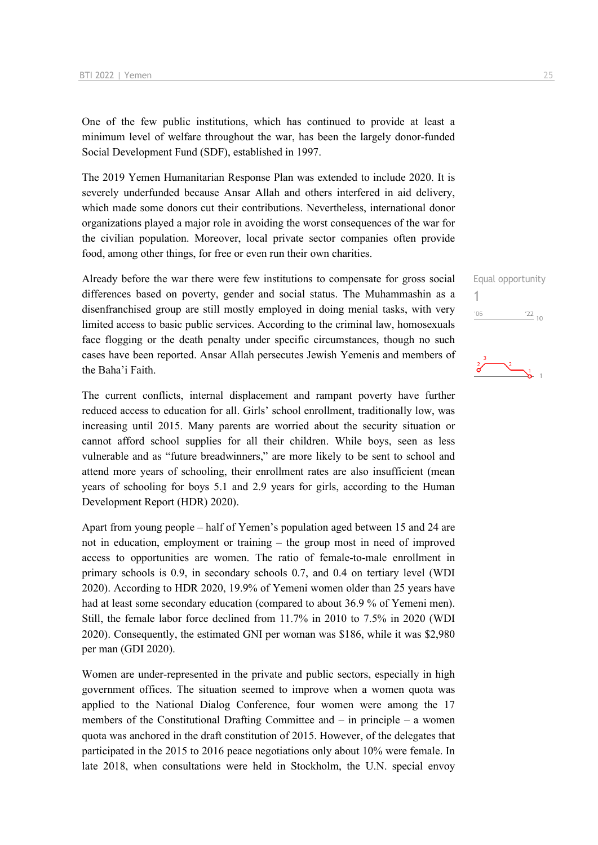One of the few public institutions, which has continued to provide at least a minimum level of welfare throughout the war, has been the largely donor-funded Social Development Fund (SDF), established in 1997.

The 2019 Yemen Humanitarian Response Plan was extended to include 2020. It is severely underfunded because Ansar Allah and others interfered in aid delivery, which made some donors cut their contributions. Nevertheless, international donor organizations played a major role in avoiding the worst consequences of the war for the civilian population. Moreover, local private sector companies often provide food, among other things, for free or even run their own charities.

Already before the war there were few institutions to compensate for gross social differences based on poverty, gender and social status. The Muhammashin as a disenfranchised group are still mostly employed in doing menial tasks, with very limited access to basic public services. According to the criminal law, homosexuals face flogging or the death penalty under specific circumstances, though no such cases have been reported. Ansar Allah persecutes Jewish Yemenis and members of the Baha'i Faith.

The current conflicts, internal displacement and rampant poverty have further reduced access to education for all. Girls' school enrollment, traditionally low, was increasing until 2015. Many parents are worried about the security situation or cannot afford school supplies for all their children. While boys, seen as less vulnerable and as "future breadwinners," are more likely to be sent to school and attend more years of schooling, their enrollment rates are also insufficient (mean years of schooling for boys 5.1 and 2.9 years for girls, according to the Human Development Report (HDR) 2020).

Apart from young people – half of Yemen's population aged between 15 and 24 are not in education, employment or training – the group most in need of improved access to opportunities are women. The ratio of female-to-male enrollment in primary schools is 0.9, in secondary schools 0.7, and 0.4 on tertiary level (WDI 2020). According to HDR 2020, 19.9% of Yemeni women older than 25 years have had at least some secondary education (compared to about 36.9 % of Yemeni men). Still, the female labor force declined from 11.7% in 2010 to 7.5% in 2020 (WDI 2020). Consequently, the estimated GNI per woman was \$186, while it was \$2,980 per man (GDI 2020).

Women are under-represented in the private and public sectors, especially in high government offices. The situation seemed to improve when a women quota was applied to the National Dialog Conference, four women were among the 17 members of the Constitutional Drafting Committee and – in principle – a women quota was anchored in the draft constitution of 2015. However, of the delegates that participated in the 2015 to 2016 peace negotiations only about 10% were female. In late 2018, when consultations were held in Stockholm, the U.N. special envoy

Equal opportunity

 $\frac{2}{6}$   $\frac{2}{6}$  1

 $\frac{22}{10}$ 

1 $06'$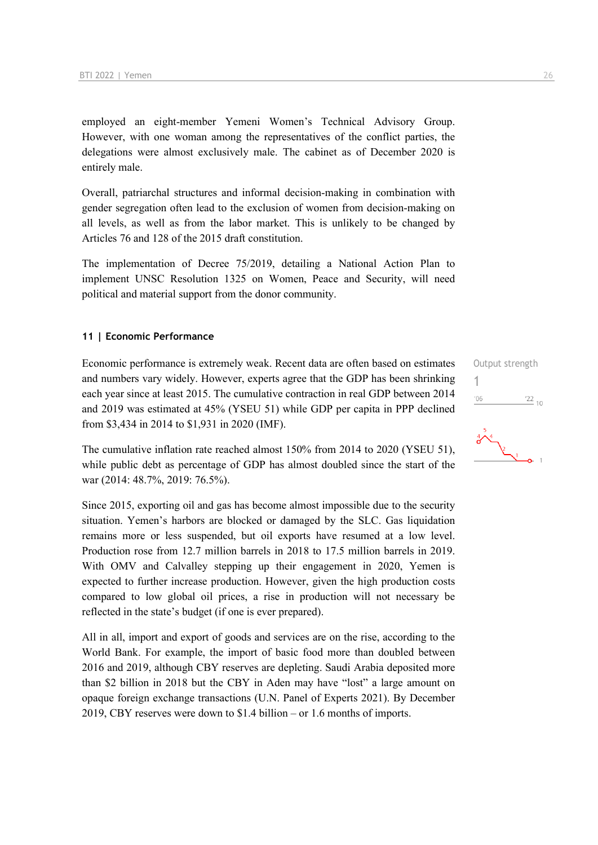employed an eight-member Yemeni Women's Technical Advisory Group. However, with one woman among the representatives of the conflict parties, the delegations were almost exclusively male. The cabinet as of December 2020 is entirely male.

Overall, patriarchal structures and informal decision-making in combination with gender segregation often lead to the exclusion of women from decision-making on all levels, as well as from the labor market. This is unlikely to be changed by Articles 76 and 128 of the 2015 draft constitution.

The implementation of Decree 75/2019, detailing a National Action Plan to implement UNSC Resolution 1325 on Women, Peace and Security, will need political and material support from the donor community.

#### **11 | Economic Performance**

Economic performance is extremely weak. Recent data are often based on estimates and numbers vary widely. However, experts agree that the GDP has been shrinking each year since at least 2015. The cumulative contraction in real GDP between 2014 and 2019 was estimated at 45% (YSEU 51) while GDP per capita in PPP declined from \$3,434 in 2014 to \$1,931 in 2020 (IMF).

The cumulative inflation rate reached almost 150% from 2014 to 2020 (YSEU 51), while public debt as percentage of GDP has almost doubled since the start of the war (2014: 48.7%, 2019: 76.5%).

Since 2015, exporting oil and gas has become almost impossible due to the security situation. Yemen's harbors are blocked or damaged by the SLC. Gas liquidation remains more or less suspended, but oil exports have resumed at a low level. Production rose from 12.7 million barrels in 2018 to 17.5 million barrels in 2019. With OMV and Calvalley stepping up their engagement in 2020, Yemen is expected to further increase production. However, given the high production costs compared to low global oil prices, a rise in production will not necessary be reflected in the state's budget (if one is ever prepared).

All in all, import and export of goods and services are on the rise, according to the World Bank. For example, the import of basic food more than doubled between 2016 and 2019, although CBY reserves are depleting. Saudi Arabia deposited more than \$2 billion in 2018 but the CBY in Aden may have "lost" a large amount on opaque foreign exchange transactions (U.N. Panel of Experts 2021). By December 2019, CBY reserves were down to \$1.4 billion – or 1.6 months of imports.



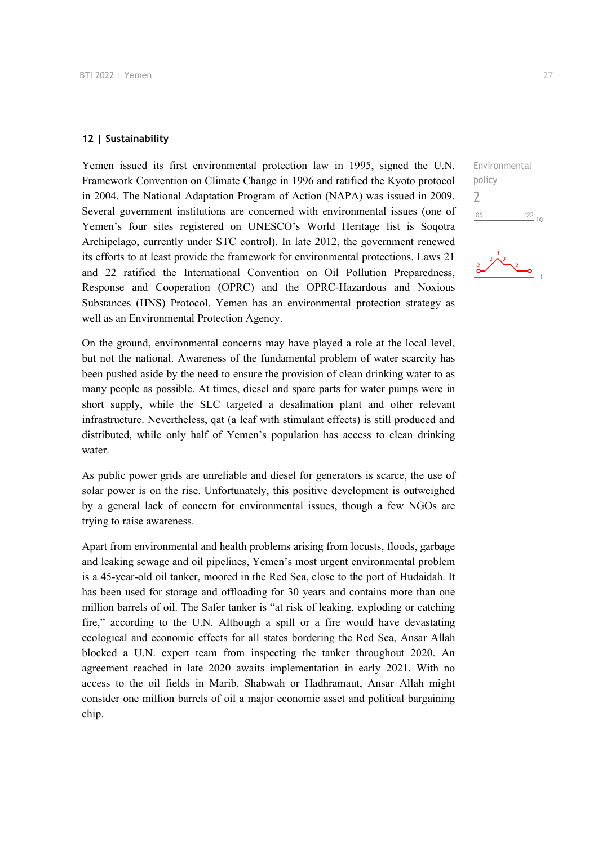#### **12 | Sustainability**

Yemen issued its first environmental protection law in 1995, signed the U.N. Framework Convention on Climate Change in 1996 and ratified the Kyoto protocol in 2004. The National Adaptation Program of Action (NAPA) was issued in 2009. Several government institutions are concerned with environmental issues (one of Yemen's four sites registered on UNESCO's World Heritage list is Soqotra Archipelago, currently under STC control). In late 2012, the government renewed its efforts to at least provide the framework for environmental protections. Laws 21 and 22 ratified the International Convention on Oil Pollution Preparedness, Response and Cooperation (OPRC) and the OPRC-Hazardous and Noxious Substances (HNS) Protocol. Yemen has an environmental protection strategy as well as an Environmental Protection Agency.

On the ground, environmental concerns may have played a role at the local level, but not the national. Awareness of the fundamental problem of water scarcity has been pushed aside by the need to ensure the provision of clean drinking water to as many people as possible. At times, diesel and spare parts for water pumps were in short supply, while the SLC targeted a desalination plant and other relevant infrastructure. Nevertheless, qat (a leaf with stimulant effects) is still produced and distributed, while only half of Yemen's population has access to clean drinking water.

As public power grids are unreliable and diesel for generators is scarce, the use of solar power is on the rise. Unfortunately, this positive development is outweighed by a general lack of concern for environmental issues, though a few NGOs are trying to raise awareness.

Apart from environmental and health problems arising from locusts, floods, garbage and leaking sewage and oil pipelines, Yemen's most urgent environmental problem is a 45-year-old oil tanker, moored in the Red Sea, close to the port of Hudaidah. It has been used for storage and offloading for 30 years and contains more than one million barrels of oil. The Safer tanker is "at risk of leaking, exploding or catching fire," according to the U.N. Although a spill or a fire would have devastating ecological and economic effects for all states bordering the Red Sea, Ansar Allah blocked a U.N. expert team from inspecting the tanker throughout 2020. An agreement reached in late 2020 awaits implementation in early 2021. With no access to the oil fields in Marib, Shabwah or Hadhramaut, Ansar Allah might consider one million barrels of oil a major economic asset and political bargaining chip.

Environmental policy 2 $06'$  $\frac{22}{10}$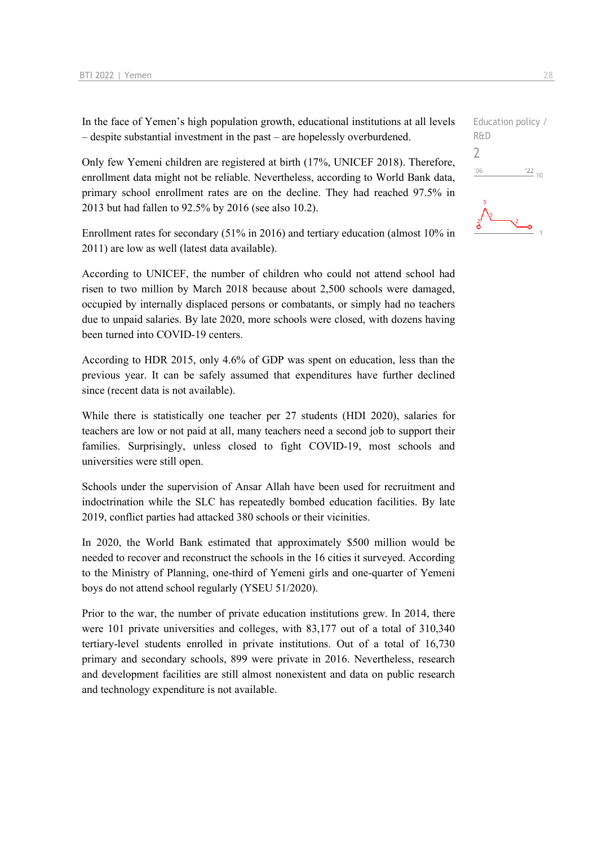In the face of Yemen's high population growth, educational institutions at all levels – despite substantial investment in the past – are hopelessly overburdened.

Only few Yemeni children are registered at birth (17%, UNICEF 2018). Therefore, enrollment data might not be reliable. Nevertheless, according to World Bank data, primary school enrollment rates are on the decline. They had reached 97.5% in 2013 but had fallen to 92.5% by 2016 (see also 10.2).

Enrollment rates for secondary (51% in 2016) and tertiary education (almost 10% in 2011) are low as well (latest data available).

According to UNICEF, the number of children who could not attend school had risen to two million by March 2018 because about 2,500 schools were damaged, occupied by internally displaced persons or combatants, or simply had no teachers due to unpaid salaries. By late 2020, more schools were closed, with dozens having been turned into COVID-19 centers.

According to HDR 2015, only 4.6% of GDP was spent on education, less than the previous year. It can be safely assumed that expenditures have further declined since (recent data is not available).

While there is statistically one teacher per 27 students (HDI 2020), salaries for teachers are low or not paid at all, many teachers need a second job to support their families. Surprisingly, unless closed to fight COVID-19, most schools and universities were still open.

Schools under the supervision of Ansar Allah have been used for recruitment and indoctrination while the SLC has repeatedly bombed education facilities. By late 2019, conflict parties had attacked 380 schools or their vicinities.

In 2020, the World Bank estimated that approximately \$500 million would be needed to recover and reconstruct the schools in the 16 cities it surveyed. According to the Ministry of Planning, one-third of Yemeni girls and one-quarter of Yemeni boys do not attend school regularly (YSEU 51/2020).

Prior to the war, the number of private education institutions grew. In 2014, there were 101 private universities and colleges, with 83,177 out of a total of 310,340 tertiary-level students enrolled in private institutions. Out of a total of 16,730 primary and secondary schools, 899 were private in 2016. Nevertheless, research and development facilities are still almost nonexistent and data on public research and technology expenditure is not available.

Education policy / R&D 2 $06'$  $\frac{22}{10}$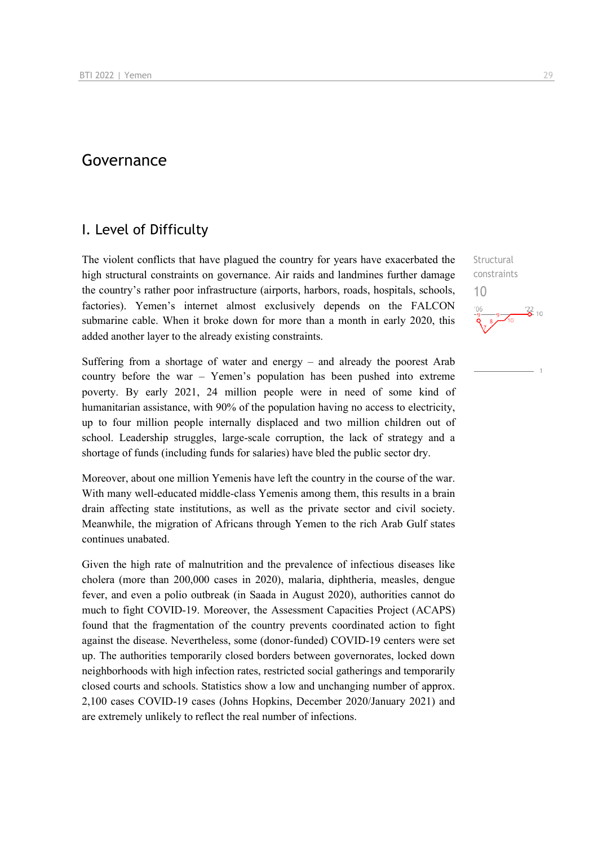## Governance

## I. Level of Difficulty

The violent conflicts that have plagued the country for years have exacerbated the high structural constraints on governance. Air raids and landmines further damage the country's rather poor infrastructure (airports, harbors, roads, hospitals, schools, factories). Yemen's internet almost exclusively depends on the FALCON submarine cable. When it broke down for more than a month in early 2020, this added another layer to the already existing constraints.

Suffering from a shortage of water and energy – and already the poorest Arab country before the war – Yemen's population has been pushed into extreme poverty. By early 2021, 24 million people were in need of some kind of humanitarian assistance, with 90% of the population having no access to electricity, up to four million people internally displaced and two million children out of school. Leadership struggles, large-scale corruption, the lack of strategy and a shortage of funds (including funds for salaries) have bled the public sector dry.

Moreover, about one million Yemenis have left the country in the course of the war. With many well-educated middle-class Yemenis among them, this results in a brain drain affecting state institutions, as well as the private sector and civil society. Meanwhile, the migration of Africans through Yemen to the rich Arab Gulf states continues unabated.

Given the high rate of malnutrition and the prevalence of infectious diseases like cholera (more than 200,000 cases in 2020), malaria, diphtheria, measles, dengue fever, and even a polio outbreak (in Saada in August 2020), authorities cannot do much to fight COVID-19. Moreover, the Assessment Capacities Project (ACAPS) found that the fragmentation of the country prevents coordinated action to fight against the disease. Nevertheless, some (donor-funded) COVID-19 centers were set up. The authorities temporarily closed borders between governorates, locked down neighborhoods with high infection rates, restricted social gatherings and temporarily closed courts and schools. Statistics show a low and unchanging number of approx. 2,100 cases COVID-19 cases (Johns Hopkins, December 2020/January 2021) and are extremely unlikely to reflect the real number of infections.

**Structural** constraints 10 $\frac{22}{2}$  10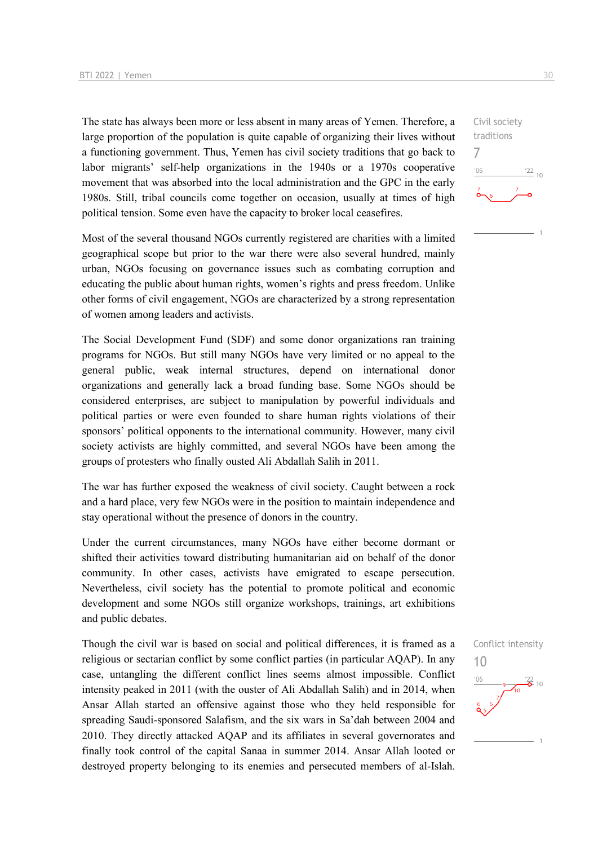The state has always been more or less absent in many areas of Yemen. Therefore, a large proportion of the population is quite capable of organizing their lives without a functioning government. Thus, Yemen has civil society traditions that go back to labor migrants' self-help organizations in the 1940s or a 1970s cooperative movement that was absorbed into the local administration and the GPC in the early 1980s. Still, tribal councils come together on occasion, usually at times of high political tension. Some even have the capacity to broker local ceasefires.

Most of the several thousand NGOs currently registered are charities with a limited geographical scope but prior to the war there were also several hundred, mainly urban, NGOs focusing on governance issues such as combating corruption and educating the public about human rights, women's rights and press freedom. Unlike other forms of civil engagement, NGOs are characterized by a strong representation of women among leaders and activists.

The Social Development Fund (SDF) and some donor organizations ran training programs for NGOs. But still many NGOs have very limited or no appeal to the general public, weak internal structures, depend on international donor organizations and generally lack a broad funding base. Some NGOs should be considered enterprises, are subject to manipulation by powerful individuals and political parties or were even founded to share human rights violations of their sponsors' political opponents to the international community. However, many civil society activists are highly committed, and several NGOs have been among the groups of protesters who finally ousted Ali Abdallah Salih in 2011.

The war has further exposed the weakness of civil society. Caught between a rock and a hard place, very few NGOs were in the position to maintain independence and stay operational without the presence of donors in the country.

Under the current circumstances, many NGOs have either become dormant or shifted their activities toward distributing humanitarian aid on behalf of the donor community. In other cases, activists have emigrated to escape persecution. Nevertheless, civil society has the potential to promote political and economic development and some NGOs still organize workshops, trainings, art exhibitions and public debates.

Though the civil war is based on social and political differences, it is framed as a religious or sectarian conflict by some conflict parties (in particular AQAP). In any case, untangling the different conflict lines seems almost impossible. Conflict intensity peaked in 2011 (with the ouster of Ali Abdallah Salih) and in 2014, when Ansar Allah started an offensive against those who they held responsible for spreading Saudi-sponsored Salafism, and the six wars in Sa'dah between 2004 and 2010. They directly attacked AQAP and its affiliates in several governorates and finally took control of the capital Sanaa in summer 2014. Ansar Allah looted or destroyed property belonging to its enemies and persecuted members of al-Islah.



Conflict intensity



 $\frac{22}{10}$ 

Civil society traditions

7

 $-06$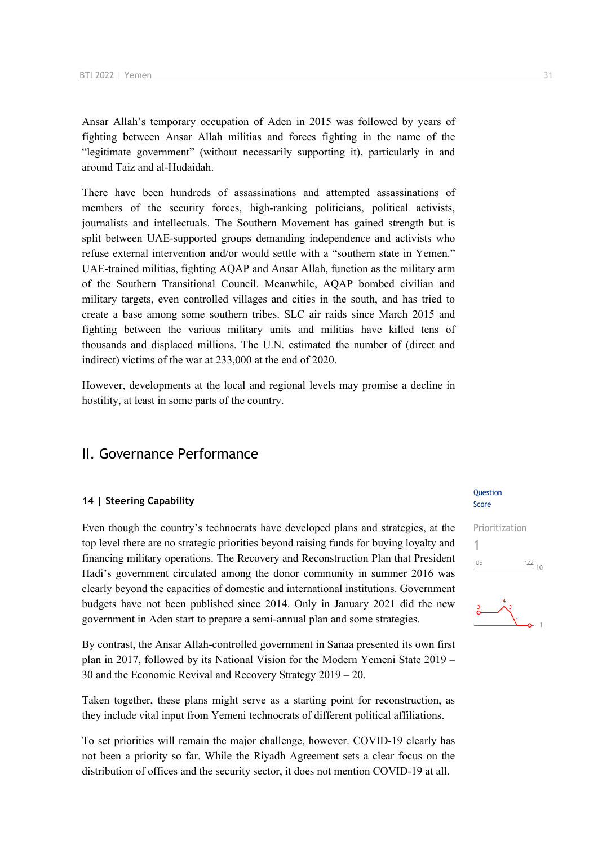Ansar Allah's temporary occupation of Aden in 2015 was followed by years of fighting between Ansar Allah militias and forces fighting in the name of the "legitimate government" (without necessarily supporting it), particularly in and around Taiz and al-Hudaidah.

There have been hundreds of assassinations and attempted assassinations of members of the security forces, high-ranking politicians, political activists, journalists and intellectuals. The Southern Movement has gained strength but is split between UAE-supported groups demanding independence and activists who refuse external intervention and/or would settle with a "southern state in Yemen." UAE-trained militias, fighting AQAP and Ansar Allah, function as the military arm of the Southern Transitional Council. Meanwhile, AQAP bombed civilian and military targets, even controlled villages and cities in the south, and has tried to create a base among some southern tribes. SLC air raids since March 2015 and fighting between the various military units and militias have killed tens of thousands and displaced millions. The U.N. estimated the number of (direct and indirect) victims of the war at 233,000 at the end of 2020.

However, developments at the local and regional levels may promise a decline in hostility, at least in some parts of the country.

## II. Governance Performance

#### **14 | Steering Capability**

Even though the country's technocrats have developed plans and strategies, at the top level there are no strategic priorities beyond raising funds for buying loyalty and financing military operations. The Recovery and Reconstruction Plan that President Hadi's government circulated among the donor community in summer 2016 was clearly beyond the capacities of domestic and international institutions. Government budgets have not been published since 2014. Only in January 2021 did the new government in Aden start to prepare a semi-annual plan and some strategies.

By contrast, the Ansar Allah-controlled government in Sanaa presented its own first plan in 2017, followed by its National Vision for the Modern Yemeni State 2019 – 30 and the Economic Revival and Recovery Strategy 2019 – 20.

Taken together, these plans might serve as a starting point for reconstruction, as they include vital input from Yemeni technocrats of different political affiliations.

To set priorities will remain the major challenge, however. COVID-19 clearly has not been a priority so far. While the Riyadh Agreement sets a clear focus on the distribution of offices and the security sector, it does not mention COVID-19 at all.

#### Question Score



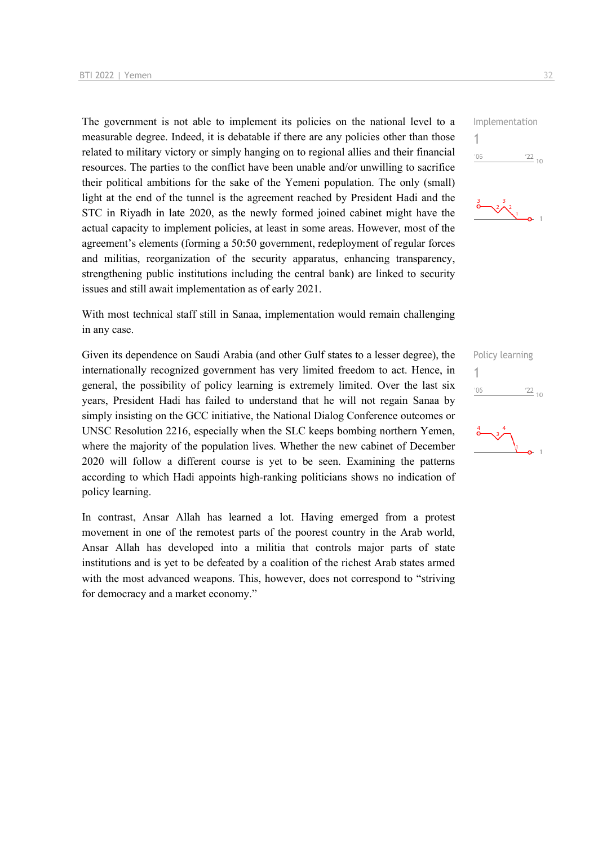The government is not able to implement its policies on the national level to a measurable degree. Indeed, it is debatable if there are any policies other than those related to military victory or simply hanging on to regional allies and their financial resources. The parties to the conflict have been unable and/or unwilling to sacrifice their political ambitions for the sake of the Yemeni population. The only (small) light at the end of the tunnel is the agreement reached by President Hadi and the STC in Riyadh in late 2020, as the newly formed joined cabinet might have the actual capacity to implement policies, at least in some areas. However, most of the agreement's elements (forming a 50:50 government, redeployment of regular forces and militias, reorganization of the security apparatus, enhancing transparency, strengthening public institutions including the central bank) are linked to security issues and still await implementation as of early 2021.

With most technical staff still in Sanaa, implementation would remain challenging in any case.

Given its dependence on Saudi Arabia (and other Gulf states to a lesser degree), the internationally recognized government has very limited freedom to act. Hence, in general, the possibility of policy learning is extremely limited. Over the last six years, President Hadi has failed to understand that he will not regain Sanaa by simply insisting on the GCC initiative, the National Dialog Conference outcomes or UNSC Resolution 2216, especially when the SLC keeps bombing northern Yemen, where the majority of the population lives. Whether the new cabinet of December 2020 will follow a different course is yet to be seen. Examining the patterns according to which Hadi appoints high-ranking politicians shows no indication of policy learning.

In contrast, Ansar Allah has learned a lot. Having emerged from a protest movement in one of the remotest parts of the poorest country in the Arab world, Ansar Allah has developed into a militia that controls major parts of state institutions and is yet to be defeated by a coalition of the richest Arab states armed with the most advanced weapons. This, however, does not correspond to "striving for democracy and a market economy."





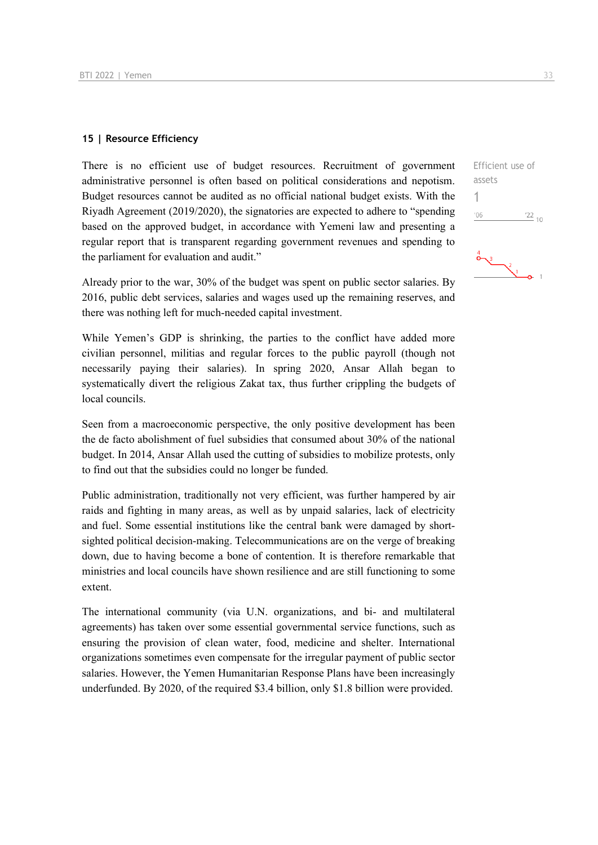#### **15 | Resource Efficiency**

There is no efficient use of budget resources. Recruitment of government administrative personnel is often based on political considerations and nepotism. Budget resources cannot be audited as no official national budget exists. With the Riyadh Agreement (2019/2020), the signatories are expected to adhere to "spending based on the approved budget, in accordance with Yemeni law and presenting a regular report that is transparent regarding government revenues and spending to the parliament for evaluation and audit."

Already prior to the war, 30% of the budget was spent on public sector salaries. By 2016, public debt services, salaries and wages used up the remaining reserves, and there was nothing left for much-needed capital investment.

While Yemen's GDP is shrinking, the parties to the conflict have added more civilian personnel, militias and regular forces to the public payroll (though not necessarily paying their salaries). In spring 2020, Ansar Allah began to systematically divert the religious Zakat tax, thus further crippling the budgets of local councils.

Seen from a macroeconomic perspective, the only positive development has been the de facto abolishment of fuel subsidies that consumed about 30% of the national budget. In 2014, Ansar Allah used the cutting of subsidies to mobilize protests, only to find out that the subsidies could no longer be funded.

Public administration, traditionally not very efficient, was further hampered by air raids and fighting in many areas, as well as by unpaid salaries, lack of electricity and fuel. Some essential institutions like the central bank were damaged by shortsighted political decision-making. Telecommunications are on the verge of breaking down, due to having become a bone of contention. It is therefore remarkable that ministries and local councils have shown resilience and are still functioning to some extent.

The international community (via U.N. organizations, and bi- and multilateral agreements) has taken over some essential governmental service functions, such as ensuring the provision of clean water, food, medicine and shelter. International organizations sometimes even compensate for the irregular payment of public sector salaries. However, the Yemen Humanitarian Response Plans have been increasingly underfunded. By 2020, of the required \$3.4 billion, only \$1.8 billion were provided.

Efficient use of assets 1 $06'$  $\frac{22}{10}$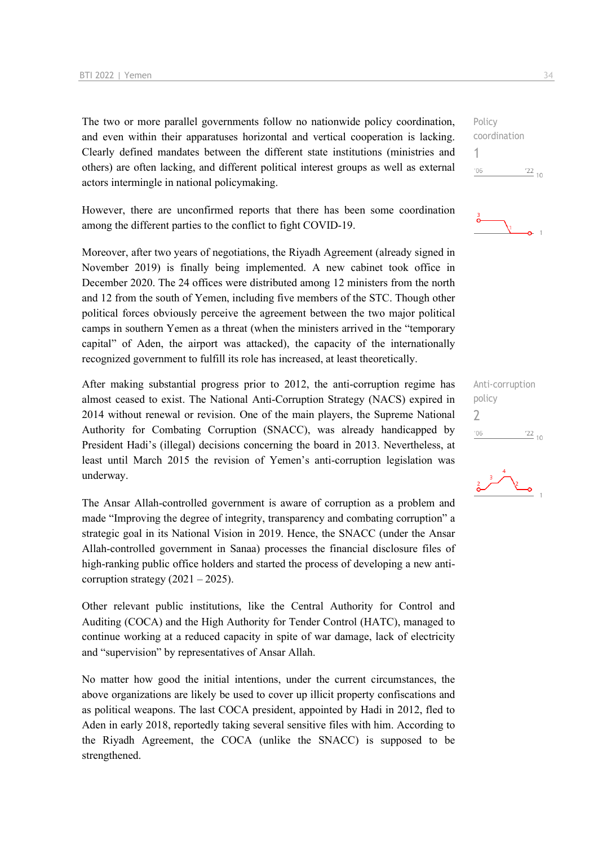The two or more parallel governments follow no nationwide policy coordination, and even within their apparatuses horizontal and vertical cooperation is lacking. Clearly defined mandates between the different state institutions (ministries and others) are often lacking, and different political interest groups as well as external actors intermingle in national policymaking.

However, there are unconfirmed reports that there has been some coordination among the different parties to the conflict to fight COVID-19.

Moreover, after two years of negotiations, the Riyadh Agreement (already signed in November 2019) is finally being implemented. A new cabinet took office in December 2020. The 24 offices were distributed among 12 ministers from the north and 12 from the south of Yemen, including five members of the STC. Though other political forces obviously perceive the agreement between the two major political camps in southern Yemen as a threat (when the ministers arrived in the "temporary capital" of Aden, the airport was attacked), the capacity of the internationally recognized government to fulfill its role has increased, at least theoretically.

After making substantial progress prior to 2012, the anti-corruption regime has almost ceased to exist. The National Anti-Corruption Strategy (NACS) expired in 2014 without renewal or revision. One of the main players, the Supreme National Authority for Combating Corruption (SNACC), was already handicapped by President Hadi's (illegal) decisions concerning the board in 2013. Nevertheless, at least until March 2015 the revision of Yemen's anti-corruption legislation was underway.

The Ansar Allah-controlled government is aware of corruption as a problem and made "Improving the degree of integrity, transparency and combating corruption" a strategic goal in its National Vision in 2019. Hence, the SNACC (under the Ansar Allah-controlled government in Sanaa) processes the financial disclosure files of high-ranking public office holders and started the process of developing a new anticorruption strategy  $(2021 – 2025)$ .

Other relevant public institutions, like the Central Authority for Control and Auditing (COCA) and the High Authority for Tender Control (HATC), managed to continue working at a reduced capacity in spite of war damage, lack of electricity and "supervision" by representatives of Ansar Allah.

No matter how good the initial intentions, under the current circumstances, the above organizations are likely be used to cover up illicit property confiscations and as political weapons. The last COCA president, appointed by Hadi in 2012, fled to Aden in early 2018, reportedly taking several sensitive files with him. According to the Riyadh Agreement, the COCA (unlike the SNACC) is supposed to be strengthened.

Policy coordination 1  $'06$  $\frac{22}{10}$ 



Anti-corruption policy 2 $106$  $\frac{22}{10}$ 

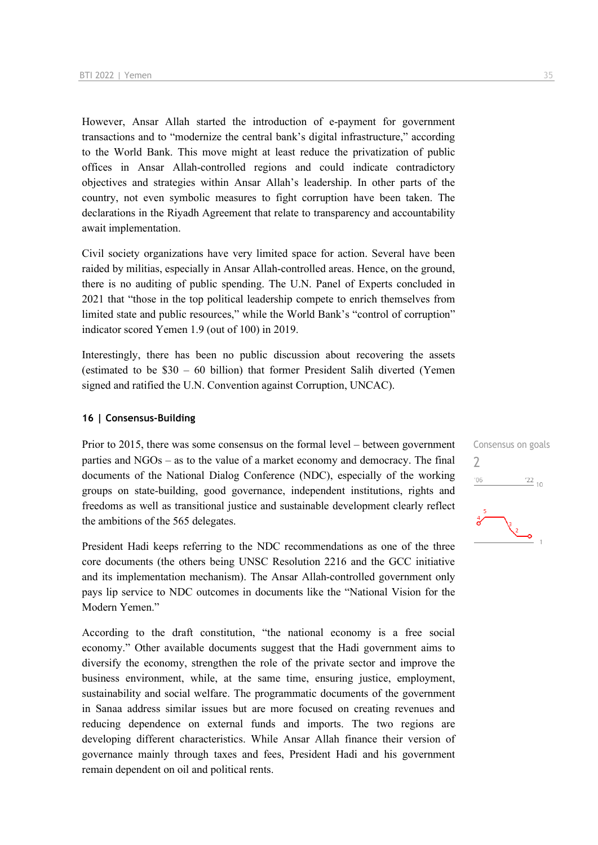However, Ansar Allah started the introduction of e-payment for government transactions and to "modernize the central bank's digital infrastructure," according to the World Bank. This move might at least reduce the privatization of public offices in Ansar Allah-controlled regions and could indicate contradictory objectives and strategies within Ansar Allah's leadership. In other parts of the country, not even symbolic measures to fight corruption have been taken. The declarations in the Riyadh Agreement that relate to transparency and accountability await implementation.

Civil society organizations have very limited space for action. Several have been raided by militias, especially in Ansar Allah-controlled areas. Hence, on the ground, there is no auditing of public spending. The U.N. Panel of Experts concluded in 2021 that "those in the top political leadership compete to enrich themselves from limited state and public resources," while the World Bank's "control of corruption" indicator scored Yemen 1.9 (out of 100) in 2019.

Interestingly, there has been no public discussion about recovering the assets (estimated to be \$30 – 60 billion) that former President Salih diverted (Yemen signed and ratified the U.N. Convention against Corruption, UNCAC).

#### **16 | Consensus-Building**

Prior to 2015, there was some consensus on the formal level – between government parties and NGOs – as to the value of a market economy and democracy. The final documents of the National Dialog Conference (NDC), especially of the working groups on state-building, good governance, independent institutions, rights and freedoms as well as transitional justice and sustainable development clearly reflect the ambitions of the 565 delegates.

President Hadi keeps referring to the NDC recommendations as one of the three core documents (the others being UNSC Resolution 2216 and the GCC initiative and its implementation mechanism). The Ansar Allah-controlled government only pays lip service to NDC outcomes in documents like the "National Vision for the Modern Yemen."

According to the draft constitution, "the national economy is a free social economy." Other available documents suggest that the Hadi government aims to diversify the economy, strengthen the role of the private sector and improve the business environment, while, at the same time, ensuring justice, employment, sustainability and social welfare. The programmatic documents of the government in Sanaa address similar issues but are more focused on creating revenues and reducing dependence on external funds and imports. The two regions are developing different characteristics. While Ansar Allah finance their version of governance mainly through taxes and fees, President Hadi and his government remain dependent on oil and political rents.

Consensus on goals  $\overline{\phantom{a}}$  $\frac{22}{10}$  $'06$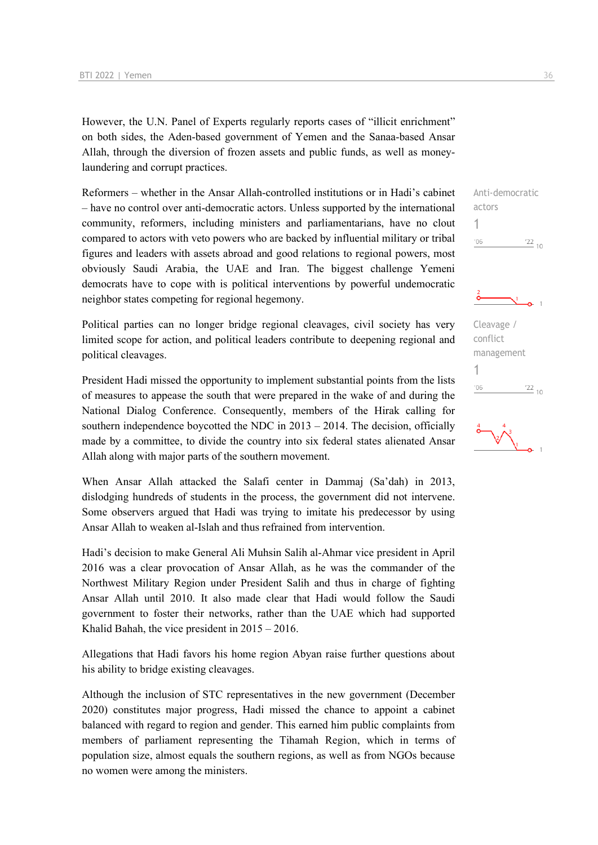However, the U.N. Panel of Experts regularly reports cases of "illicit enrichment" on both sides, the Aden-based government of Yemen and the Sanaa-based Ansar Allah, through the diversion of frozen assets and public funds, as well as moneylaundering and corrupt practices.

Reformers – whether in the Ansar Allah-controlled institutions or in Hadi's cabinet – have no control over anti-democratic actors. Unless supported by the international community, reformers, including ministers and parliamentarians, have no clout compared to actors with veto powers who are backed by influential military or tribal figures and leaders with assets abroad and good relations to regional powers, most obviously Saudi Arabia, the UAE and Iran. The biggest challenge Yemeni democrats have to cope with is political interventions by powerful undemocratic neighbor states competing for regional hegemony.

Political parties can no longer bridge regional cleavages, civil society has very limited scope for action, and political leaders contribute to deepening regional and political cleavages.

President Hadi missed the opportunity to implement substantial points from the lists of measures to appease the south that were prepared in the wake of and during the National Dialog Conference. Consequently, members of the Hirak calling for southern independence boycotted the NDC in  $2013 - 2014$ . The decision, officially made by a committee, to divide the country into six federal states alienated Ansar Allah along with major parts of the southern movement.

When Ansar Allah attacked the Salafi center in Dammaj (Sa'dah) in 2013, dislodging hundreds of students in the process, the government did not intervene. Some observers argued that Hadi was trying to imitate his predecessor by using Ansar Allah to weaken al-Islah and thus refrained from intervention.

Hadi's decision to make General Ali Muhsin Salih al-Ahmar vice president in April 2016 was a clear provocation of Ansar Allah, as he was the commander of the Northwest Military Region under President Salih and thus in charge of fighting Ansar Allah until 2010. It also made clear that Hadi would follow the Saudi government to foster their networks, rather than the UAE which had supported Khalid Bahah, the vice president in 2015 – 2016.

Allegations that Hadi favors his home region Abyan raise further questions about his ability to bridge existing cleavages.

Although the inclusion of STC representatives in the new government (December 2020) constitutes major progress, Hadi missed the chance to appoint a cabinet balanced with regard to region and gender. This earned him public complaints from members of parliament representing the Tihamah Region, which in terms of population size, almost equals the southern regions, as well as from NGOs because no women were among the ministers.







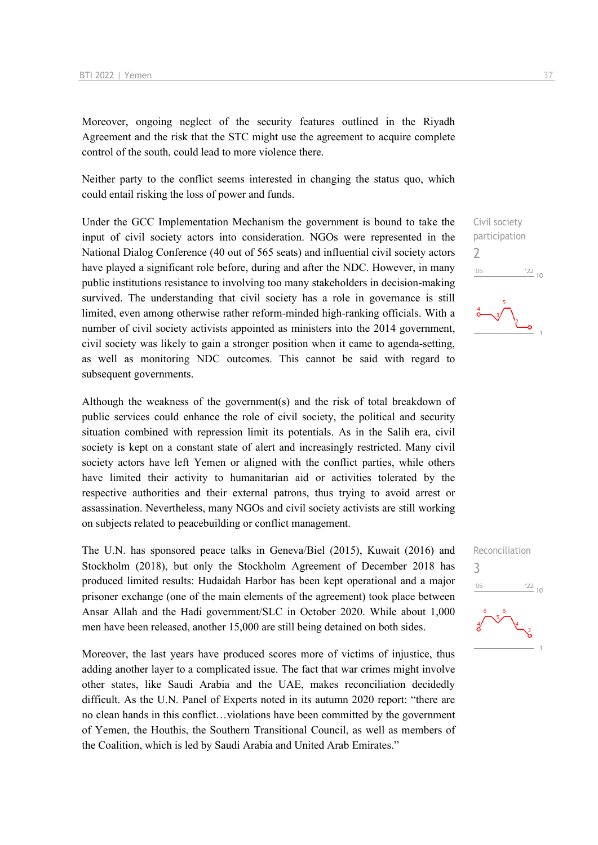Moreover, ongoing neglect of the security features outlined in the Riyadh Agreement and the risk that the STC might use the agreement to acquire complete control of the south, could lead to more violence there.

Neither party to the conflict seems interested in changing the status quo, which could entail risking the loss of power and funds.

Under the GCC Implementation Mechanism the government is bound to take the input of civil society actors into consideration. NGOs were represented in the National Dialog Conference (40 out of 565 seats) and influential civil society actors have played a significant role before, during and after the NDC. However, in many public institutions resistance to involving too many stakeholders in decision-making survived. The understanding that civil society has a role in governance is still limited, even among otherwise rather reform-minded high-ranking officials. With a number of civil society activists appointed as ministers into the 2014 government, civil society was likely to gain a stronger position when it came to agenda-setting, as well as monitoring NDC outcomes. This cannot be said with regard to subsequent governments.

Although the weakness of the government(s) and the risk of total breakdown of public services could enhance the role of civil society, the political and security situation combined with repression limit its potentials. As in the Salih era, civil society is kept on a constant state of alert and increasingly restricted. Many civil society actors have left Yemen or aligned with the conflict parties, while others have limited their activity to humanitarian aid or activities tolerated by the respective authorities and their external patrons, thus trying to avoid arrest or assassination. Nevertheless, many NGOs and civil society activists are still working on subjects related to peacebuilding or conflict management.

The U.N. has sponsored peace talks in Geneva/Biel (2015), Kuwait (2016) and Stockholm (2018), but only the Stockholm Agreement of December 2018 has produced limited results: Hudaidah Harbor has been kept operational and a major prisoner exchange (one of the main elements of the agreement) took place between Ansar Allah and the Hadi government/SLC in October 2020. While about 1,000 men have been released, another 15,000 are still being detained on both sides.

Moreover, the last years have produced scores more of victims of injustice, thus adding another layer to a complicated issue. The fact that war crimes might involve other states, like Saudi Arabia and the UAE, makes reconciliation decidedly difficult. As the U.N. Panel of Experts noted in its autumn 2020 report: "there are no clean hands in this conflict…violations have been committed by the government of Yemen, the Houthis, the Southern Transitional Council, as well as members of the Coalition, which is led by Saudi Arabia and United Arab Emirates."

Civil society participation 2  $^{\prime}06$  $\frac{22}{10}$ 

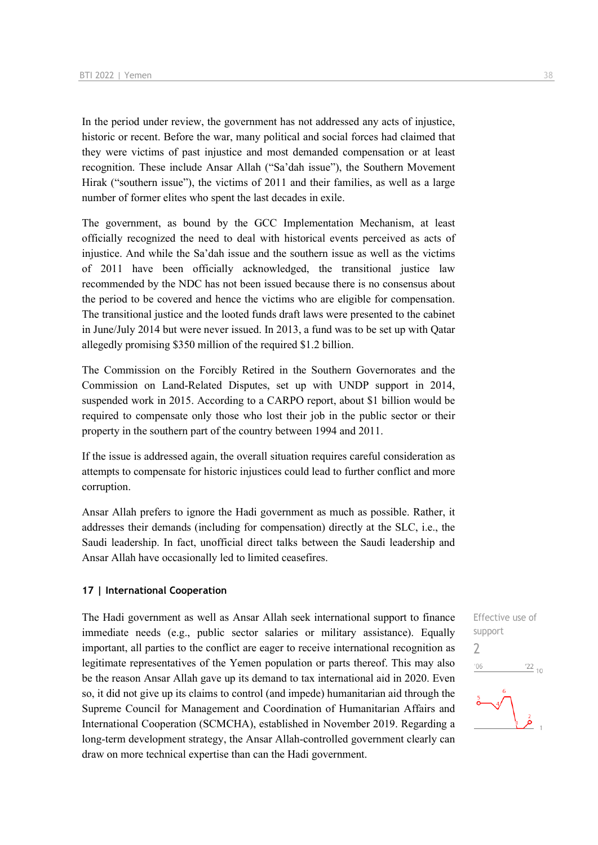In the period under review, the government has not addressed any acts of injustice, historic or recent. Before the war, many political and social forces had claimed that they were victims of past injustice and most demanded compensation or at least recognition. These include Ansar Allah ("Sa'dah issue"), the Southern Movement Hirak ("southern issue"), the victims of 2011 and their families, as well as a large number of former elites who spent the last decades in exile.

The government, as bound by the GCC Implementation Mechanism, at least officially recognized the need to deal with historical events perceived as acts of injustice. And while the Sa'dah issue and the southern issue as well as the victims of 2011 have been officially acknowledged, the transitional justice law recommended by the NDC has not been issued because there is no consensus about the period to be covered and hence the victims who are eligible for compensation. The transitional justice and the looted funds draft laws were presented to the cabinet in June/July 2014 but were never issued. In 2013, a fund was to be set up with Qatar allegedly promising \$350 million of the required \$1.2 billion.

The Commission on the Forcibly Retired in the Southern Governorates and the Commission on Land-Related Disputes, set up with UNDP support in 2014, suspended work in 2015. According to a CARPO report, about \$1 billion would be required to compensate only those who lost their job in the public sector or their property in the southern part of the country between 1994 and 2011.

If the issue is addressed again, the overall situation requires careful consideration as attempts to compensate for historic injustices could lead to further conflict and more corruption.

Ansar Allah prefers to ignore the Hadi government as much as possible. Rather, it addresses their demands (including for compensation) directly at the SLC, i.e., the Saudi leadership. In fact, unofficial direct talks between the Saudi leadership and Ansar Allah have occasionally led to limited ceasefires.

#### **17 | International Cooperation**

The Hadi government as well as Ansar Allah seek international support to finance immediate needs (e.g., public sector salaries or military assistance). Equally important, all parties to the conflict are eager to receive international recognition as legitimate representatives of the Yemen population or parts thereof. This may also be the reason Ansar Allah gave up its demand to tax international aid in 2020. Even so, it did not give up its claims to control (and impede) humanitarian aid through the Supreme Council for Management and Coordination of Humanitarian Affairs and International Cooperation (SCMCHA), established in November 2019. Regarding a long-term development strategy, the Ansar Allah-controlled government clearly can draw on more technical expertise than can the Hadi government.

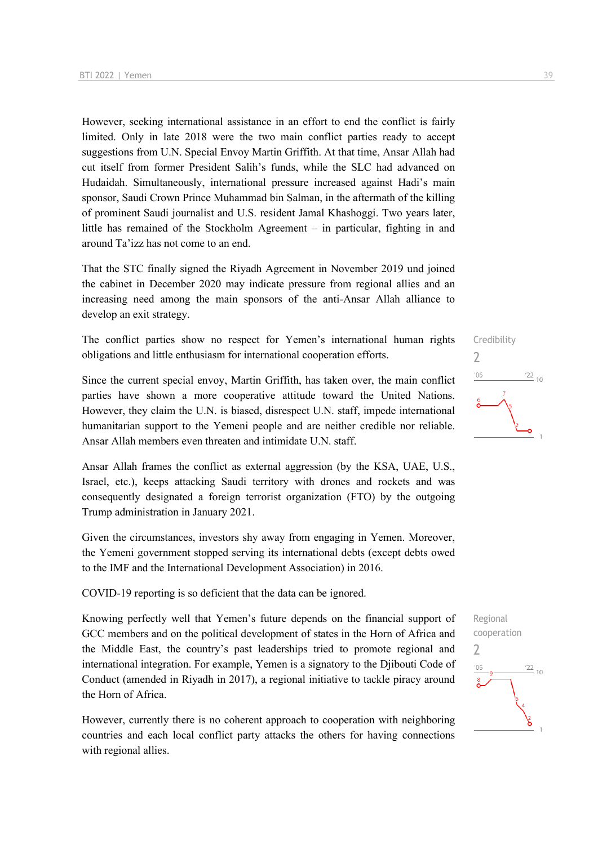However, seeking international assistance in an effort to end the conflict is fairly limited. Only in late 2018 were the two main conflict parties ready to accept suggestions from U.N. Special Envoy Martin Griffith. At that time, Ansar Allah had cut itself from former President Salih's funds, while the SLC had advanced on Hudaidah. Simultaneously, international pressure increased against Hadi's main sponsor, Saudi Crown Prince Muhammad bin Salman, in the aftermath of the killing of prominent Saudi journalist and U.S. resident Jamal Khashoggi. Two years later, little has remained of the Stockholm Agreement – in particular, fighting in and around Ta'izz has not come to an end.

That the STC finally signed the Riyadh Agreement in November 2019 und joined the cabinet in December 2020 may indicate pressure from regional allies and an increasing need among the main sponsors of the anti-Ansar Allah alliance to develop an exit strategy.

The conflict parties show no respect for Yemen's international human rights obligations and little enthusiasm for international cooperation efforts.

Since the current special envoy, Martin Griffith, has taken over, the main conflict parties have shown a more cooperative attitude toward the United Nations. However, they claim the U.N. is biased, disrespect U.N. staff, impede international humanitarian support to the Yemeni people and are neither credible nor reliable. Ansar Allah members even threaten and intimidate U.N. staff.

Ansar Allah frames the conflict as external aggression (by the KSA, UAE, U.S., Israel, etc.), keeps attacking Saudi territory with drones and rockets and was consequently designated a foreign terrorist organization (FTO) by the outgoing Trump administration in January 2021.

Given the circumstances, investors shy away from engaging in Yemen. Moreover, the Yemeni government stopped serving its international debts (except debts owed to the IMF and the International Development Association) in 2016.

COVID-19 reporting is so deficient that the data can be ignored.

Knowing perfectly well that Yemen's future depends on the financial support of GCC members and on the political development of states in the Horn of Africa and the Middle East, the country's past leaderships tried to promote regional and international integration. For example, Yemen is a signatory to the Djibouti Code of Conduct (amended in Riyadh in 2017), a regional initiative to tackle piracy around the Horn of Africa.

However, currently there is no coherent approach to cooperation with neighboring countries and each local conflict party attacks the others for having connections with regional allies.



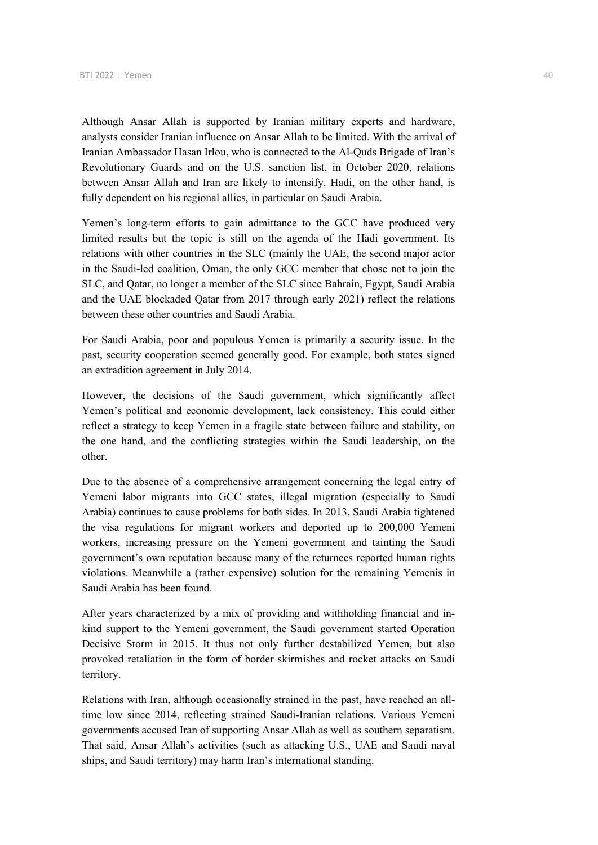Although Ansar Allah is supported by Iranian military experts and hardware, analysts consider Iranian influence on Ansar Allah to be limited. With the arrival of Iranian Ambassador Hasan Irlou, who is connected to the Al-Quds Brigade of Iran's Revolutionary Guards and on the U.S. sanction list, in October 2020, relations between Ansar Allah and Iran are likely to intensify. Hadi, on the other hand, is fully dependent on his regional allies, in particular on Saudi Arabia.

Yemen's long-term efforts to gain admittance to the GCC have produced very limited results but the topic is still on the agenda of the Hadi government. Its relations with other countries in the SLC (mainly the UAE, the second major actor in the Saudi-led coalition, Oman, the only GCC member that chose not to join the SLC, and Qatar, no longer a member of the SLC since Bahrain, Egypt, Saudi Arabia and the UAE blockaded Qatar from 2017 through early 2021) reflect the relations between these other countries and Saudi Arabia.

For Saudi Arabia, poor and populous Yemen is primarily a security issue. In the past, security cooperation seemed generally good. For example, both states signed an extradition agreement in July 2014.

However, the decisions of the Saudi government, which significantly affect Yemen's political and economic development, lack consistency. This could either reflect a strategy to keep Yemen in a fragile state between failure and stability, on the one hand, and the conflicting strategies within the Saudi leadership, on the other.

Due to the absence of a comprehensive arrangement concerning the legal entry of Yemeni labor migrants into GCC states, illegal migration (especially to Saudi Arabia) continues to cause problems for both sides. In 2013, Saudi Arabia tightened the visa regulations for migrant workers and deported up to 200,000 Yemeni workers, increasing pressure on the Yemeni government and tainting the Saudi government's own reputation because many of the returnees reported human rights violations. Meanwhile a (rather expensive) solution for the remaining Yemenis in Saudi Arabia has been found.

After years characterized by a mix of providing and withholding financial and inkind support to the Yemeni government, the Saudi government started Operation Decisive Storm in 2015. It thus not only further destabilized Yemen, but also provoked retaliation in the form of border skirmishes and rocket attacks on Saudi territory.

Relations with Iran, although occasionally strained in the past, have reached an alltime low since 2014, reflecting strained Saudi-Iranian relations. Various Yemeni governments accused Iran of supporting Ansar Allah as well as southern separatism. That said, Ansar Allah's activities (such as attacking U.S., UAE and Saudi naval ships, and Saudi territory) may harm Iran's international standing.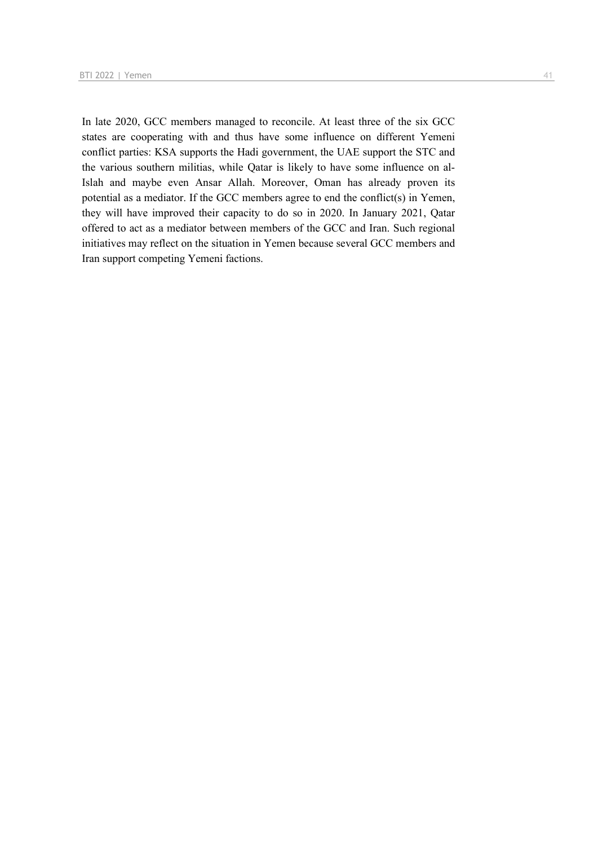In late 2020, GCC members managed to reconcile. At least three of the six GCC states are cooperating with and thus have some influence on different Yemeni conflict parties: KSA supports the Hadi government, the UAE support the STC and the various southern militias, while Qatar is likely to have some influence on al-Islah and maybe even Ansar Allah. Moreover, Oman has already proven its potential as a mediator. If the GCC members agree to end the conflict(s) in Yemen, they will have improved their capacity to do so in 2020. In January 2021, Qatar offered to act as a mediator between members of the GCC and Iran. Such regional initiatives may reflect on the situation in Yemen because several GCC members and Iran support competing Yemeni factions.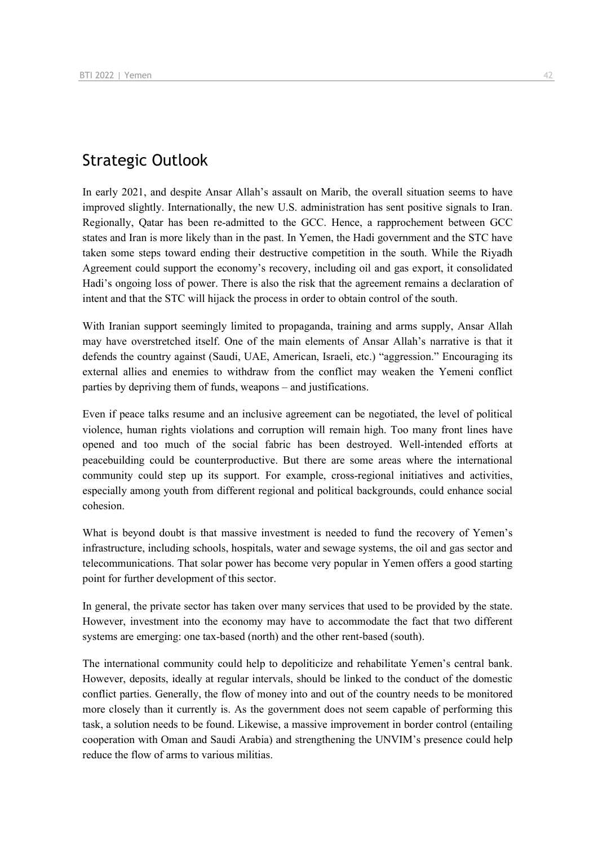## Strategic Outlook

In early 2021, and despite Ansar Allah's assault on Marib, the overall situation seems to have improved slightly. Internationally, the new U.S. administration has sent positive signals to Iran. Regionally, Qatar has been re-admitted to the GCC. Hence, a rapprochement between GCC states and Iran is more likely than in the past. In Yemen, the Hadi government and the STC have taken some steps toward ending their destructive competition in the south. While the Riyadh Agreement could support the economy's recovery, including oil and gas export, it consolidated Hadi's ongoing loss of power. There is also the risk that the agreement remains a declaration of intent and that the STC will hijack the process in order to obtain control of the south.

With Iranian support seemingly limited to propaganda, training and arms supply, Ansar Allah may have overstretched itself. One of the main elements of Ansar Allah's narrative is that it defends the country against (Saudi, UAE, American, Israeli, etc.) "aggression." Encouraging its external allies and enemies to withdraw from the conflict may weaken the Yemeni conflict parties by depriving them of funds, weapons – and justifications.

Even if peace talks resume and an inclusive agreement can be negotiated, the level of political violence, human rights violations and corruption will remain high. Too many front lines have opened and too much of the social fabric has been destroyed. Well-intended efforts at peacebuilding could be counterproductive. But there are some areas where the international community could step up its support. For example, cross-regional initiatives and activities, especially among youth from different regional and political backgrounds, could enhance social cohesion.

What is beyond doubt is that massive investment is needed to fund the recovery of Yemen's infrastructure, including schools, hospitals, water and sewage systems, the oil and gas sector and telecommunications. That solar power has become very popular in Yemen offers a good starting point for further development of this sector.

In general, the private sector has taken over many services that used to be provided by the state. However, investment into the economy may have to accommodate the fact that two different systems are emerging: one tax-based (north) and the other rent-based (south).

The international community could help to depoliticize and rehabilitate Yemen's central bank. However, deposits, ideally at regular intervals, should be linked to the conduct of the domestic conflict parties. Generally, the flow of money into and out of the country needs to be monitored more closely than it currently is. As the government does not seem capable of performing this task, a solution needs to be found. Likewise, a massive improvement in border control (entailing cooperation with Oman and Saudi Arabia) and strengthening the UNVIM's presence could help reduce the flow of arms to various militias.